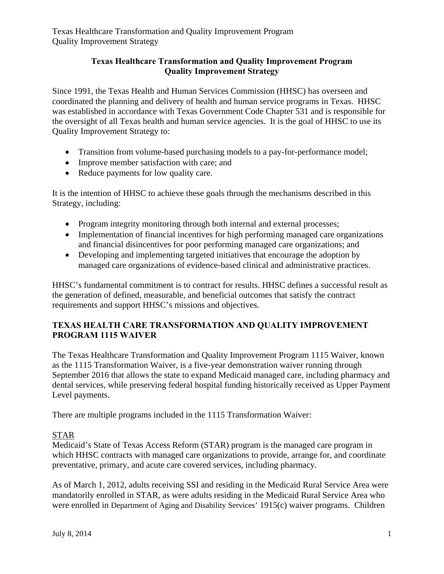#### **Texas Healthcare Transformation and Quality Improvement Program Quality Improvement Strategy**

Since 1991, the Texas Health and Human Services Commission (HHSC) has overseen and coordinated the planning and delivery of health and human service programs in Texas. HHSC was established in accordance with Texas Government Code Chapter 531 and is responsible for the oversight of all Texas health and human service agencies. It is the goal of HHSC to use its Quality Improvement Strategy to:

- Transition from volume-based purchasing models to a pay-for-performance model;
- Improve member satisfaction with care; and
- Reduce payments for low quality care.

It is the intention of HHSC to achieve these goals through the mechanisms described in this Strategy, including:

- Program integrity monitoring through both internal and external processes;
- Implementation of financial incentives for high performing managed care organizations and financial disincentives for poor performing managed care organizations; and
- Developing and implementing targeted initiatives that encourage the adoption by managed care organizations of evidence-based clinical and administrative practices.

HHSC's fundamental commitment is to contract for results. HHSC defines a successful result as the generation of defined, measurable, and beneficial outcomes that satisfy the contract requirements and support HHSC's missions and objectives.

# **TEXAS HEALTH CARE TRANSFORMATION AND QUALITY IMPROVEMENT PROGRAM 1115 WAIVER**

The Texas Healthcare Transformation and Quality Improvement Program 1115 Waiver, known as the 1115 Transformation Waiver, is a five-year demonstration waiver running through September 2016 that allows the state to expand Medicaid managed care, including pharmacy and dental services, while preserving federal hospital funding historically received as Upper Payment Level payments.

There are multiple programs included in the 1115 Transformation Waiver:

## STAR

Medicaid's State of Texas Access Reform (STAR) program is the managed care program in which HHSC contracts with managed care organizations to provide, arrange for, and coordinate preventative, primary, and acute care covered services, including pharmacy.

As of March 1, 2012, adults receiving SSI and residing in the Medicaid Rural Service Area were mandatorily enrolled in STAR, as were adults residing in the Medicaid Rural Service Area who were enrolled in Department of Aging and Disability Services' 1915(c) waiver programs. Children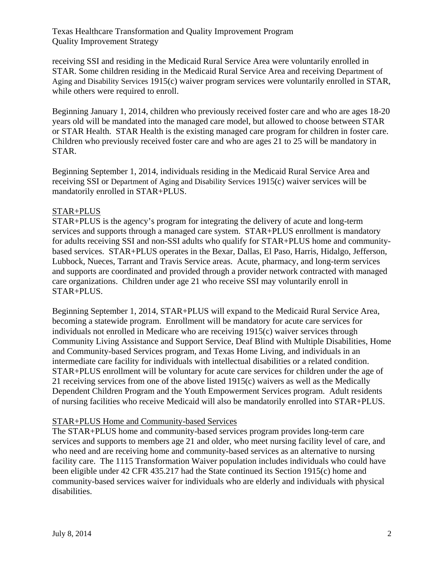receiving SSI and residing in the Medicaid Rural Service Area were voluntarily enrolled in STAR. Some children residing in the Medicaid Rural Service Area and receiving Department of Aging and Disability Services 1915(c) waiver program services were voluntarily enrolled in STAR, while others were required to enroll.

Beginning January 1, 2014, children who previously received foster care and who are ages 18-20 years old will be mandated into the managed care model, but allowed to choose between STAR or STAR Health. STAR Health is the existing managed care program for children in foster care. Children who previously received foster care and who are ages 21 to 25 will be mandatory in STAR.

Beginning September 1, 2014, individuals residing in the Medicaid Rural Service Area and receiving SSI or Department of Aging and Disability Services 1915(c) waiver services will be mandatorily enrolled in STAR+PLUS.

## STAR+PLUS

STAR+PLUS is the agency's program for integrating the delivery of acute and long-term services and supports through a managed care system. STAR+PLUS enrollment is mandatory for adults receiving SSI and non-SSI adults who qualify for STAR+PLUS home and communitybased services. STAR+PLUS operates in the Bexar, Dallas, El Paso, Harris, Hidalgo, Jefferson, Lubbock, Nueces, Tarrant and Travis Service areas. Acute, pharmacy, and long-term services and supports are coordinated and provided through a provider network contracted with managed care organizations. Children under age 21 who receive SSI may voluntarily enroll in STAR+PLUS.

Beginning September 1, 2014, STAR+PLUS will expand to the Medicaid Rural Service Area, becoming a statewide program. Enrollment will be mandatory for acute care services for individuals not enrolled in Medicare who are receiving 1915(c) waiver services through Community Living Assistance and Support Service, Deaf Blind with Multiple Disabilities, Home and Community-based Services program, and Texas Home Living, and individuals in an intermediate care facility for individuals with intellectual disabilities or a related condition. STAR+PLUS enrollment will be voluntary for acute care services for children under the age of 21 receiving services from one of the above listed 1915(c) waivers as well as the Medically Dependent Children Program and the Youth Empowerment Services program. Adult residents of nursing facilities who receive Medicaid will also be mandatorily enrolled into STAR+PLUS.

#### STAR+PLUS Home and Community-based Services

The STAR+PLUS home and community-based services program provides long-term care services and supports to members age 21 and older, who meet nursing facility level of care, and who need and are receiving home and community-based services as an alternative to nursing facility care. The 1115 Transformation Waiver population includes individuals who could have been eligible under 42 CFR 435.217 had the State continued its Section 1915(c) home and community-based services waiver for individuals who are elderly and individuals with physical disabilities.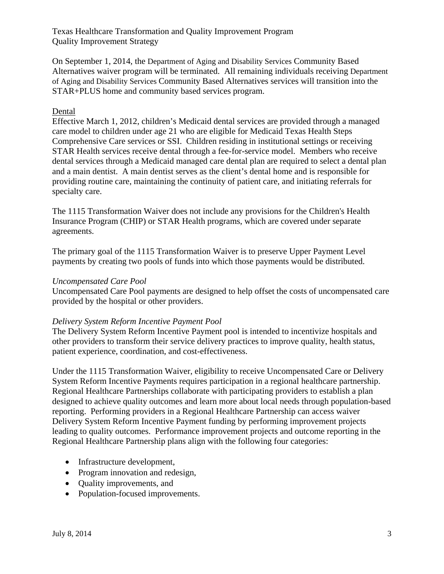On September 1, 2014, the Department of Aging and Disability Services Community Based Alternatives waiver program will be terminated. All remaining individuals receiving Department of Aging and Disability Services Community Based Alternatives services will transition into the STAR+PLUS home and community based services program.

#### **Dental**

Effective March 1, 2012, children's Medicaid dental services are provided through a managed care model to children under age 21 who are eligible for Medicaid Texas Health Steps Comprehensive Care services or SSI. Children residing in institutional settings or receiving STAR Health services receive dental through a fee-for-service model. Members who receive dental services through a Medicaid managed care dental plan are required to select a dental plan and a main dentist. A main dentist serves as the client's dental home and is responsible for providing routine care, maintaining the continuity of patient care, and initiating referrals for specialty care.

The 1115 Transformation Waiver does not include any provisions for the Children's Health Insurance Program (CHIP) or STAR Health programs, which are covered under separate agreements.

The primary goal of the 1115 Transformation Waiver is to preserve Upper Payment Level payments by creating two pools of funds into which those payments would be distributed.

#### *Uncompensated Care Pool*

Uncompensated Care Pool payments are designed to help offset the costs of uncompensated care provided by the hospital or other providers.

#### *Delivery System Reform Incentive Payment Pool*

The Delivery System Reform Incentive Payment pool is intended to incentivize hospitals and other providers to transform their service delivery practices to improve quality, health status, patient experience, coordination, and cost-effectiveness.

Under the 1115 Transformation Waiver, eligibility to receive Uncompensated Care or Delivery System Reform Incentive Payments requires participation in a regional healthcare partnership. Regional Healthcare Partnerships collaborate with participating providers to establish a plan designed to achieve quality outcomes and learn more about local needs through population-based reporting. Performing providers in a Regional Healthcare Partnership can access waiver Delivery System Reform Incentive Payment funding by performing improvement projects leading to quality outcomes. Performance improvement projects and outcome reporting in the Regional Healthcare Partnership plans align with the following four categories:

- Infrastructure development,
- Program innovation and redesign,
- Quality improvements, and
- Population-focused improvements.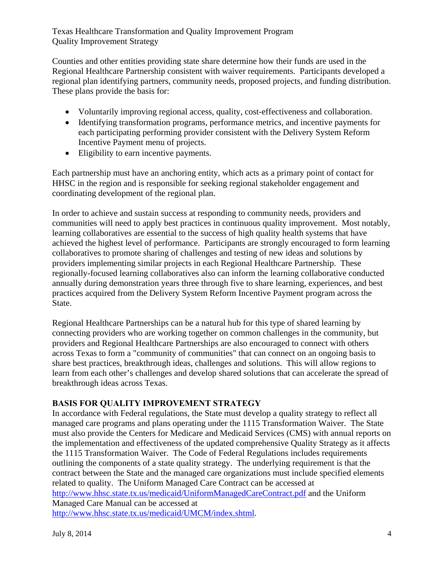Counties and other entities providing state share determine how their funds are used in the Regional Healthcare Partnership consistent with waiver requirements. Participants developed a regional plan identifying partners, community needs, proposed projects, and funding distribution. These plans provide the basis for:

- Voluntarily improving regional access, quality, cost-effectiveness and collaboration.
- Identifying transformation programs, performance metrics, and incentive payments for each participating performing provider consistent with the Delivery System Reform Incentive Payment menu of projects.
- Eligibility to earn incentive payments.

Each partnership must have an anchoring entity, which acts as a primary point of contact for HHSC in the region and is responsible for seeking regional stakeholder engagement and coordinating development of the regional plan.

In order to achieve and sustain success at responding to community needs, providers and communities will need to apply best practices in continuous quality improvement. Most notably, learning collaboratives are essential to the success of high quality health systems that have achieved the highest level of performance. Participants are strongly encouraged to form learning collaboratives to promote sharing of challenges and testing of new ideas and solutions by providers implementing similar projects in each Regional Healthcare Partnership. These regionally-focused learning collaboratives also can inform the learning collaborative conducted annually during demonstration years three through five to share learning, experiences, and best practices acquired from the Delivery System Reform Incentive Payment program across the State.

Regional Healthcare Partnerships can be a natural hub for this type of shared learning by connecting providers who are working together on common challenges in the community, but providers and Regional Healthcare Partnerships are also encouraged to connect with others across Texas to form a "community of communities" that can connect on an ongoing basis to share best practices, breakthrough ideas, challenges and solutions. This will allow regions to learn from each other's challenges and develop shared solutions that can accelerate the spread of breakthrough ideas across Texas.

# **BASIS FOR QUALITY IMPROVEMENT STRATEGY**

In accordance with Federal regulations, the State must develop a quality strategy to reflect all managed care programs and plans operating under the 1115 Transformation Waiver. The State must also provide the Centers for Medicare and Medicaid Services (CMS) with annual reports on the implementation and effectiveness of the updated comprehensive Quality Strategy as it affects the 1115 Transformation Waiver. The Code of Federal Regulations includes requirements outlining the components of a state quality strategy. The underlying requirement is that the contract between the State and the managed care organizations must include specified elements related to quality. The Uniform Managed Care Contract can be accessed at http://www.hhsc.state.tx.us/medicaid/UniformManagedCareContract.pdf and the Uniform Managed Care Manual can be accessed at http://www.hhsc.state.tx.us/medicaid/UMCM/index.shtml.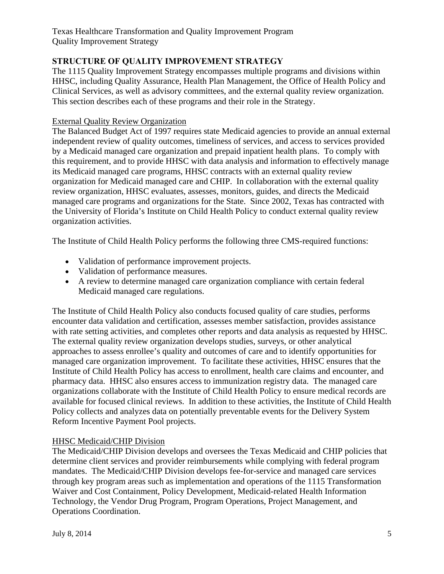# **STRUCTURE OF QUALITY IMPROVEMENT STRATEGY**

The 1115 Quality Improvement Strategy encompasses multiple programs and divisions within HHSC, including Quality Assurance, Health Plan Management, the Office of Health Policy and Clinical Services, as well as advisory committees, and the external quality review organization. This section describes each of these programs and their role in the Strategy.

#### External Quality Review Organization

The Balanced Budget Act of 1997 requires state Medicaid agencies to provide an annual external independent review of quality outcomes, timeliness of services, and access to services provided by a Medicaid managed care organization and prepaid inpatient health plans. To comply with this requirement, and to provide HHSC with data analysis and information to effectively manage its Medicaid managed care programs, HHSC contracts with an external quality review organization for Medicaid managed care and CHIP. In collaboration with the external quality review organization, HHSC evaluates, assesses, monitors, guides, and directs the Medicaid managed care programs and organizations for the State. Since 2002, Texas has contracted with the University of Florida's Institute on Child Health Policy to conduct external quality review organization activities.

The Institute of Child Health Policy performs the following three CMS-required functions:

- Validation of performance improvement projects.
- Validation of performance measures.
- A review to determine managed care organization compliance with certain federal Medicaid managed care regulations.

The Institute of Child Health Policy also conducts focused quality of care studies, performs encounter data validation and certification, assesses member satisfaction, provides assistance with rate setting activities, and completes other reports and data analysis as requested by HHSC. The external quality review organization develops studies, surveys, or other analytical approaches to assess enrollee's quality and outcomes of care and to identify opportunities for managed care organization improvement. To facilitate these activities, HHSC ensures that the Institute of Child Health Policy has access to enrollment, health care claims and encounter, and pharmacy data. HHSC also ensures access to immunization registry data. The managed care organizations collaborate with the Institute of Child Health Policy to ensure medical records are available for focused clinical reviews. In addition to these activities, the Institute of Child Health Policy collects and analyzes data on potentially preventable events for the Delivery System Reform Incentive Payment Pool projects.

## HHSC Medicaid/CHIP Division

The Medicaid/CHIP Division develops and oversees the Texas Medicaid and CHIP policies that determine client services and provider reimbursements while complying with federal program mandates. The Medicaid/CHIP Division develops fee-for-service and managed care services through key program areas such as implementation and operations of the 1115 Transformation Waiver and Cost Containment, Policy Development, Medicaid-related Health Information Technology, the Vendor Drug Program, Program Operations, Project Management, and Operations Coordination.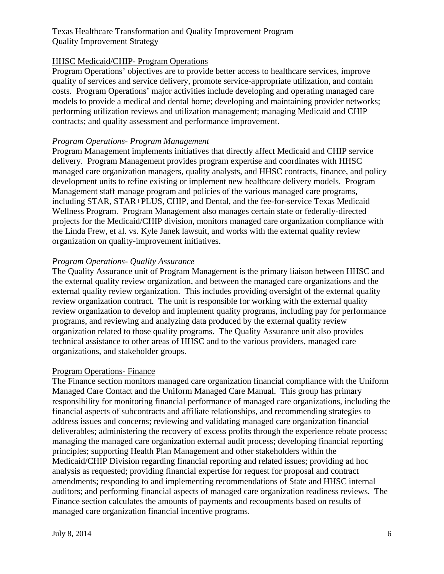## HHSC Medicaid/CHIP- Program Operations

Program Operations' objectives are to provide better access to healthcare services, improve quality of services and service delivery, promote service-appropriate utilization, and contain costs. Program Operations' major activities include developing and operating managed care models to provide a medical and dental home; developing and maintaining provider networks; performing utilization reviews and utilization management; managing Medicaid and CHIP contracts; and quality assessment and performance improvement.

#### *Program Operations- Program Management*

Program Management implements initiatives that directly affect Medicaid and CHIP service delivery. Program Management provides program expertise and coordinates with HHSC managed care organization managers, quality analysts, and HHSC contracts, finance, and policy development units to refine existing or implement new healthcare delivery models. Program Management staff manage program and policies of the various managed care programs, including STAR, STAR+PLUS, CHIP, and Dental, and the fee-for-service Texas Medicaid Wellness Program. Program Management also manages certain state or federally-directed projects for the Medicaid/CHIP division, monitors managed care organization compliance with the Linda Frew, et al. vs. Kyle Janek lawsuit, and works with the external quality review organization on quality-improvement initiatives.

#### *Program Operations- Quality Assurance*

The Quality Assurance unit of Program Management is the primary liaison between HHSC and the external quality review organization, and between the managed care organizations and the external quality review organization. This includes providing oversight of the external quality review organization contract. The unit is responsible for working with the external quality review organization to develop and implement quality programs, including pay for performance programs, and reviewing and analyzing data produced by the external quality review organization related to those quality programs. The Quality Assurance unit also provides technical assistance to other areas of HHSC and to the various providers, managed care organizations, and stakeholder groups.

#### Program Operations- Finance

The Finance section monitors managed care organization financial compliance with the Uniform Managed Care Contact and the Uniform Managed Care Manual. This group has primary responsibility for monitoring financial performance of managed care organizations, including the financial aspects of subcontracts and affiliate relationships, and recommending strategies to address issues and concerns; reviewing and validating managed care organization financial deliverables; administering the recovery of excess profits through the experience rebate process; managing the managed care organization external audit process; developing financial reporting principles; supporting Health Plan Management and other stakeholders within the Medicaid/CHIP Division regarding financial reporting and related issues; providing ad hoc analysis as requested; providing financial expertise for request for proposal and contract amendments; responding to and implementing recommendations of State and HHSC internal auditors; and performing financial aspects of managed care organization readiness reviews. The Finance section calculates the amounts of payments and recoupments based on results of managed care organization financial incentive programs.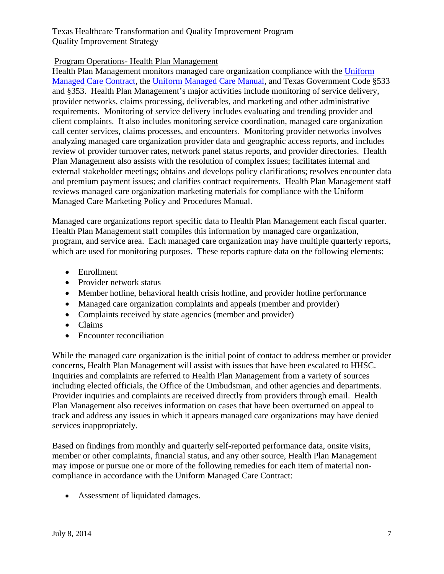## Program Operations- Health Plan Management

Health Plan Management monitors managed care organization compliance with the Uniform Managed Care Contract, the Uniform Managed Care Manual, and Texas Government Code §533 and §353. Health Plan Management's major activities include monitoring of service delivery, provider networks, claims processing, deliverables, and marketing and other administrative requirements. Monitoring of service delivery includes evaluating and trending provider and client complaints. It also includes monitoring service coordination, managed care organization call center services, claims processes, and encounters. Monitoring provider networks involves analyzing managed care organization provider data and geographic access reports, and includes review of provider turnover rates, network panel status reports, and provider directories. Health Plan Management also assists with the resolution of complex issues; facilitates internal and external stakeholder meetings; obtains and develops policy clarifications; resolves encounter data and premium payment issues; and clarifies contract requirements. Health Plan Management staff reviews managed care organization marketing materials for compliance with the Uniform Managed Care Marketing Policy and Procedures Manual.

Managed care organizations report specific data to Health Plan Management each fiscal quarter. Health Plan Management staff compiles this information by managed care organization, program, and service area. Each managed care organization may have multiple quarterly reports, which are used for monitoring purposes. These reports capture data on the following elements:

- Enrollment
- Provider network status
- Member hotline, behavioral health crisis hotline, and provider hotline performance
- Managed care organization complaints and appeals (member and provider)
- Complaints received by state agencies (member and provider)
- Claims
- Encounter reconciliation

While the managed care organization is the initial point of contact to address member or provider concerns, Health Plan Management will assist with issues that have been escalated to HHSC. Inquiries and complaints are referred to Health Plan Management from a variety of sources including elected officials, the Office of the Ombudsman, and other agencies and departments. Provider inquiries and complaints are received directly from providers through email. Health Plan Management also receives information on cases that have been overturned on appeal to track and address any issues in which it appears managed care organizations may have denied services inappropriately.

Based on findings from monthly and quarterly self-reported performance data, onsite visits, member or other complaints, financial status, and any other source, Health Plan Management may impose or pursue one or more of the following remedies for each item of material noncompliance in accordance with the Uniform Managed Care Contract:

Assessment of liquidated damages.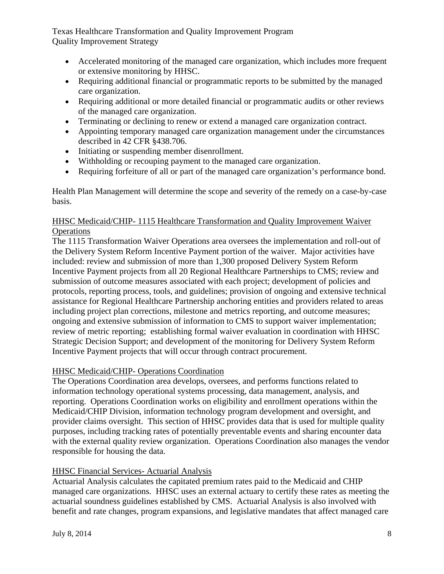- Accelerated monitoring of the managed care organization, which includes more frequent or extensive monitoring by HHSC.
- Requiring additional financial or programmatic reports to be submitted by the managed care organization.
- Requiring additional or more detailed financial or programmatic audits or other reviews of the managed care organization.
- Terminating or declining to renew or extend a managed care organization contract.
- Appointing temporary managed care organization management under the circumstances described in 42 CFR §438.706.
- Initiating or suspending member disenrollment.
- Withholding or recouping payment to the managed care organization.
- Requiring forfeiture of all or part of the managed care organization's performance bond.

Health Plan Management will determine the scope and severity of the remedy on a case-by-case basis.

## HHSC Medicaid/CHIP- 1115 Healthcare Transformation and Quality Improvement Waiver **Operations**

The 1115 Transformation Waiver Operations area oversees the implementation and roll-out of the Delivery System Reform Incentive Payment portion of the waiver. Major activities have included: review and submission of more than 1,300 proposed Delivery System Reform Incentive Payment projects from all 20 Regional Healthcare Partnerships to CMS; review and submission of outcome measures associated with each project; development of policies and protocols, reporting process, tools, and guidelines; provision of ongoing and extensive technical assistance for Regional Healthcare Partnership anchoring entities and providers related to areas including project plan corrections, milestone and metrics reporting, and outcome measures; ongoing and extensive submission of information to CMS to support waiver implementation; review of metric reporting; establishing formal waiver evaluation in coordination with HHSC Strategic Decision Support; and development of the monitoring for Delivery System Reform Incentive Payment projects that will occur through contract procurement.

## HHSC Medicaid/CHIP- Operations Coordination

The Operations Coordination area develops, oversees, and performs functions related to information technology operational systems processing, data management, analysis, and reporting. Operations Coordination works on eligibility and enrollment operations within the Medicaid/CHIP Division, information technology program development and oversight, and provider claims oversight. This section of HHSC provides data that is used for multiple quality purposes, including tracking rates of potentially preventable events and sharing encounter data with the external quality review organization. Operations Coordination also manages the vendor responsible for housing the data.

## HHSC Financial Services- Actuarial Analysis

Actuarial Analysis calculates the capitated premium rates paid to the Medicaid and CHIP managed care organizations. HHSC uses an external actuary to certify these rates as meeting the actuarial soundness guidelines established by CMS. Actuarial Analysis is also involved with benefit and rate changes, program expansions, and legislative mandates that affect managed care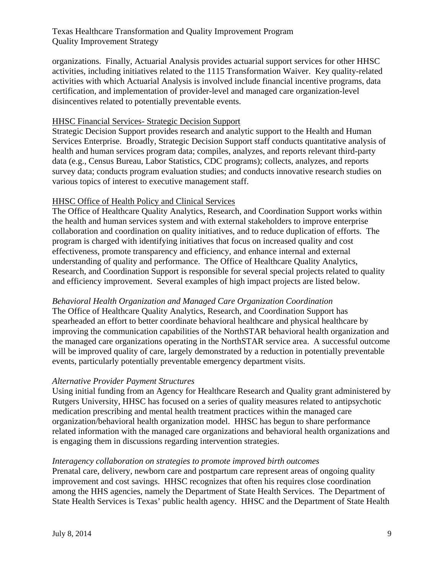organizations. Finally, Actuarial Analysis provides actuarial support services for other HHSC activities, including initiatives related to the 1115 Transformation Waiver. Key quality-related activities with which Actuarial Analysis is involved include financial incentive programs, data certification, and implementation of provider-level and managed care organization-level disincentives related to potentially preventable events.

#### HHSC Financial Services- Strategic Decision Support

Strategic Decision Support provides research and analytic support to the Health and Human Services Enterprise. Broadly, Strategic Decision Support staff conducts quantitative analysis of health and human services program data; compiles, analyzes, and reports relevant third-party data (e.g., Census Bureau, Labor Statistics, CDC programs); collects, analyzes, and reports survey data; conducts program evaluation studies; and conducts innovative research studies on various topics of interest to executive management staff.

#### HHSC Office of Health Policy and Clinical Services

The Office of Healthcare Quality Analytics, Research, and Coordination Support works within the health and human services system and with external stakeholders to improve enterprise collaboration and coordination on quality initiatives, and to reduce duplication of efforts. The program is charged with identifying initiatives that focus on increased quality and cost effectiveness, promote transparency and efficiency, and enhance internal and external understanding of quality and performance. The Office of Healthcare Quality Analytics, Research, and Coordination Support is responsible for several special projects related to quality and efficiency improvement. Several examples of high impact projects are listed below.

#### *Behavioral Health Organization and Managed Care Organization Coordination*

The Office of Healthcare Quality Analytics, Research, and Coordination Support has spearheaded an effort to better coordinate behavioral healthcare and physical healthcare by improving the communication capabilities of the NorthSTAR behavioral health organization and the managed care organizations operating in the NorthSTAR service area. A successful outcome will be improved quality of care, largely demonstrated by a reduction in potentially preventable events, particularly potentially preventable emergency department visits.

#### *Alternative Provider Payment Structures*

Using initial funding from an Agency for Healthcare Research and Quality grant administered by Rutgers University, HHSC has focused on a series of quality measures related to antipsychotic medication prescribing and mental health treatment practices within the managed care organization/behavioral health organization model. HHSC has begun to share performance related information with the managed care organizations and behavioral health organizations and is engaging them in discussions regarding intervention strategies.

#### *Interagency collaboration on strategies to promote improved birth outcomes*

Prenatal care, delivery, newborn care and postpartum care represent areas of ongoing quality improvement and cost savings. HHSC recognizes that often his requires close coordination among the HHS agencies, namely the Department of State Health Services. The Department of State Health Services is Texas' public health agency. HHSC and the Department of State Health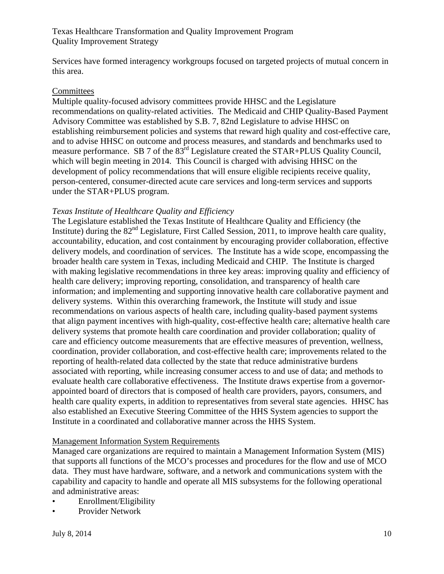Services have formed interagency workgroups focused on targeted projects of mutual concern in this area.

#### **Committees**

Multiple quality-focused advisory committees provide HHSC and the Legislature recommendations on quality-related activities. The Medicaid and CHIP Quality-Based Payment Advisory Committee was established by S.B. 7, 82nd Legislature to advise HHSC on establishing reimbursement policies and systems that reward high quality and cost-effective care, and to advise HHSC on outcome and process measures, and standards and benchmarks used to measure performance. SB 7 of the  $83<sup>rd</sup>$  Legislature created the STAR+PLUS Quality Council, which will begin meeting in 2014. This Council is charged with advising HHSC on the development of policy recommendations that will ensure eligible recipients receive quality, person-centered, consumer-directed acute care services and long-term services and supports under the STAR+PLUS program.

#### *Texas Institute of Healthcare Quality and Efficiency*

The Legislature established the Texas Institute of Healthcare Quality and Efficiency (the Institute) during the  $82<sup>nd</sup>$  Legislature, First Called Session, 2011, to improve health care quality, accountability, education, and cost containment by encouraging provider collaboration, effective delivery models, and coordination of services. The Institute has a wide scope, encompassing the broader health care system in Texas, including Medicaid and CHIP. The Institute is charged with making legislative recommendations in three key areas: improving quality and efficiency of health care delivery; improving reporting, consolidation, and transparency of health care information; and implementing and supporting innovative health care collaborative payment and delivery systems. Within this overarching framework, the Institute will study and issue recommendations on various aspects of health care, including quality-based payment systems that align payment incentives with high-quality, cost-effective health care; alternative health care delivery systems that promote health care coordination and provider collaboration; quality of care and efficiency outcome measurements that are effective measures of prevention, wellness, coordination, provider collaboration, and cost-effective health care; improvements related to the reporting of health-related data collected by the state that reduce administrative burdens associated with reporting, while increasing consumer access to and use of data; and methods to evaluate health care collaborative effectiveness. The Institute draws expertise from a governorappointed board of directors that is composed of health care providers, payors, consumers, and health care quality experts, in addition to representatives from several state agencies. HHSC has also established an Executive Steering Committee of the HHS System agencies to support the Institute in a coordinated and collaborative manner across the HHS System.

#### Management Information System Requirements

Managed care organizations are required to maintain a Management Information System (MIS) that supports all functions of the MCO's processes and procedures for the flow and use of MCO data. They must have hardware, software, and a network and communications system with the capability and capacity to handle and operate all MIS subsystems for the following operational and administrative areas:

- Enrollment/Eligibility
- Provider Network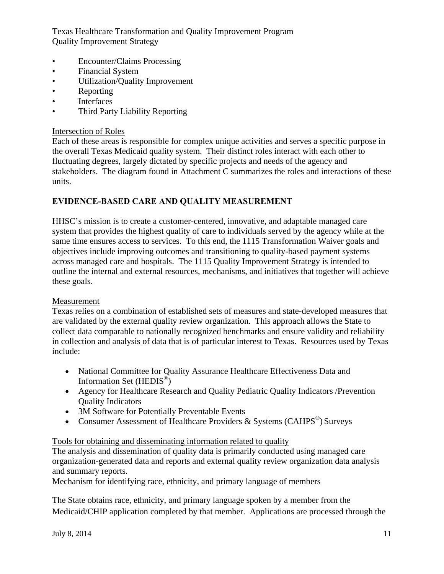- Encounter/Claims Processing
- Financial System
- Utilization/Quality Improvement
- Reporting
- Interfaces
- Third Party Liability Reporting

#### Intersection of Roles

Each of these areas is responsible for complex unique activities and serves a specific purpose in the overall Texas Medicaid quality system. Their distinct roles interact with each other to fluctuating degrees, largely dictated by specific projects and needs of the agency and stakeholders. The diagram found in Attachment C summarizes the roles and interactions of these units.

## **EVIDENCE-BASED CARE AND QUALITY MEASUREMENT**

HHSC's mission is to create a customer-centered, innovative, and adaptable managed care system that provides the highest quality of care to individuals served by the agency while at the same time ensures access to services. To this end, the 1115 Transformation Waiver goals and objectives include improving outcomes and transitioning to quality-based payment systems across managed care and hospitals. The 1115 Quality Improvement Strategy is intended to outline the internal and external resources, mechanisms, and initiatives that together will achieve these goals.

## Measurement

Texas relies on a combination of established sets of measures and state-developed measures that are validated by the external quality review organization. This approach allows the State to collect data comparable to nationally recognized benchmarks and ensure validity and reliability in collection and analysis of data that is of particular interest to Texas. Resources used by Texas include:

- National Committee for Quality Assurance Healthcare Effectiveness Data and Information Set (HEDIS®)
- Agency for Healthcare Research and Quality Pediatric Quality Indicators /Prevention Quality Indicators
- 3M Software for Potentially Preventable Events
- Consumer Assessment of Healthcare Providers & Systems (CAHPS®) Surveys

## Tools for obtaining and disseminating information related to quality

The analysis and dissemination of quality data is primarily conducted using managed care organization-generated data and reports and external quality review organization data analysis and summary reports.

Mechanism for identifying race, ethnicity, and primary language of members

The State obtains race, ethnicity, and primary language spoken by a member from the Medicaid/CHIP application completed by that member. Applications are processed through the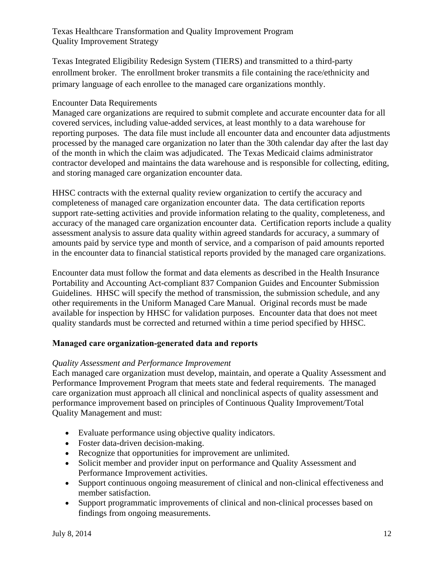Texas Integrated Eligibility Redesign System (TIERS) and transmitted to a third-party enrollment broker. The enrollment broker transmits a file containing the race/ethnicity and primary language of each enrollee to the managed care organizations monthly.

## Encounter Data Requirements

Managed care organizations are required to submit complete and accurate encounter data for all covered services, including value-added services, at least monthly to a data warehouse for reporting purposes. The data file must include all encounter data and encounter data adjustments processed by the managed care organization no later than the 30th calendar day after the last day of the month in which the claim was adjudicated. The Texas Medicaid claims administrator contractor developed and maintains the data warehouse and is responsible for collecting, editing, and storing managed care organization encounter data.

HHSC contracts with the external quality review organization to certify the accuracy and completeness of managed care organization encounter data. The data certification reports support rate-setting activities and provide information relating to the quality, completeness, and accuracy of the managed care organization encounter data. Certification reports include a quality assessment analysis to assure data quality within agreed standards for accuracy, a summary of amounts paid by service type and month of service, and a comparison of paid amounts reported in the encounter data to financial statistical reports provided by the managed care organizations.

Encounter data must follow the format and data elements as described in the Health Insurance Portability and Accounting Act-compliant 837 Companion Guides and Encounter Submission Guidelines. HHSC will specify the method of transmission, the submission schedule, and any other requirements in the Uniform Managed Care Manual. Original records must be made available for inspection by HHSC for validation purposes. Encounter data that does not meet quality standards must be corrected and returned within a time period specified by HHSC.

# **Managed care organization-generated data and reports**

## *Quality Assessment and Performance Improvement*

Each managed care organization must develop, maintain, and operate a Quality Assessment and Performance Improvement Program that meets state and federal requirements. The managed care organization must approach all clinical and nonclinical aspects of quality assessment and performance improvement based on principles of Continuous Quality Improvement/Total Quality Management and must:

- Evaluate performance using objective quality indicators.
- Foster data-driven decision-making.
- Recognize that opportunities for improvement are unlimited.
- Solicit member and provider input on performance and Quality Assessment and Performance Improvement activities.
- Support continuous ongoing measurement of clinical and non-clinical effectiveness and member satisfaction.
- Support programmatic improvements of clinical and non-clinical processes based on findings from ongoing measurements.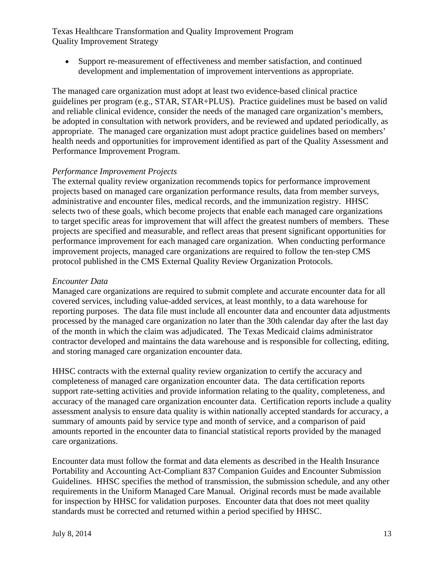Support re-measurement of effectiveness and member satisfaction, and continued development and implementation of improvement interventions as appropriate.

The managed care organization must adopt at least two evidence-based clinical practice guidelines per program (e.g., STAR, STAR+PLUS). Practice guidelines must be based on valid and reliable clinical evidence, consider the needs of the managed care organization's members, be adopted in consultation with network providers, and be reviewed and updated periodically, as appropriate. The managed care organization must adopt practice guidelines based on members' health needs and opportunities for improvement identified as part of the Quality Assessment and Performance Improvement Program.

#### *Performance Improvement Projects*

The external quality review organization recommends topics for performance improvement projects based on managed care organization performance results, data from member surveys, administrative and encounter files, medical records, and the immunization registry. HHSC selects two of these goals, which become projects that enable each managed care organizations to target specific areas for improvement that will affect the greatest numbers of members. These projects are specified and measurable, and reflect areas that present significant opportunities for performance improvement for each managed care organization. When conducting performance improvement projects, managed care organizations are required to follow the ten-step CMS protocol published in the CMS External Quality Review Organization Protocols.

#### *Encounter Data*

Managed care organizations are required to submit complete and accurate encounter data for all covered services, including value-added services, at least monthly, to a data warehouse for reporting purposes. The data file must include all encounter data and encounter data adjustments processed by the managed care organization no later than the 30th calendar day after the last day of the month in which the claim was adjudicated. The Texas Medicaid claims administrator contractor developed and maintains the data warehouse and is responsible for collecting, editing, and storing managed care organization encounter data.

HHSC contracts with the external quality review organization to certify the accuracy and completeness of managed care organization encounter data. The data certification reports support rate-setting activities and provide information relating to the quality, completeness, and accuracy of the managed care organization encounter data. Certification reports include a quality assessment analysis to ensure data quality is within nationally accepted standards for accuracy, a summary of amounts paid by service type and month of service, and a comparison of paid amounts reported in the encounter data to financial statistical reports provided by the managed care organizations.

Encounter data must follow the format and data elements as described in the Health Insurance Portability and Accounting Act-Compliant 837 Companion Guides and Encounter Submission Guidelines. HHSC specifies the method of transmission, the submission schedule, and any other requirements in the Uniform Managed Care Manual. Original records must be made available for inspection by HHSC for validation purposes. Encounter data that does not meet quality standards must be corrected and returned within a period specified by HHSC.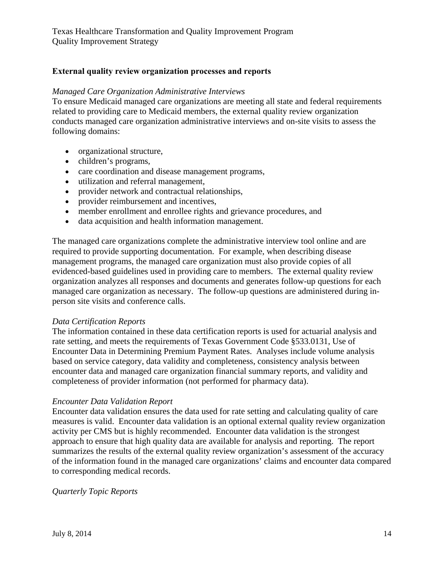## **External quality review organization processes and reports**

#### *Managed Care Organization Administrative Interviews*

To ensure Medicaid managed care organizations are meeting all state and federal requirements related to providing care to Medicaid members, the external quality review organization conducts managed care organization administrative interviews and on-site visits to assess the following domains:

- organizational structure,
- children's programs,
- care coordination and disease management programs,
- utilization and referral management,
- provider network and contractual relationships,
- provider reimbursement and incentives,
- member enrollment and enrollee rights and grievance procedures, and
- data acquisition and health information management.

The managed care organizations complete the administrative interview tool online and are required to provide supporting documentation. For example, when describing disease management programs, the managed care organization must also provide copies of all evidenced-based guidelines used in providing care to members. The external quality review organization analyzes all responses and documents and generates follow-up questions for each managed care organization as necessary. The follow-up questions are administered during inperson site visits and conference calls.

#### *Data Certification Reports*

The information contained in these data certification reports is used for actuarial analysis and rate setting, and meets the requirements of Texas Government Code §533.0131, Use of Encounter Data in Determining Premium Payment Rates. Analyses include volume analysis based on service category, data validity and completeness, consistency analysis between encounter data and managed care organization financial summary reports, and validity and completeness of provider information (not performed for pharmacy data).

#### *Encounter Data Validation Report*

Encounter data validation ensures the data used for rate setting and calculating quality of care measures is valid. Encounter data validation is an optional external quality review organization activity per CMS but is highly recommended. Encounter data validation is the strongest approach to ensure that high quality data are available for analysis and reporting. The report summarizes the results of the external quality review organization's assessment of the accuracy of the information found in the managed care organizations' claims and encounter data compared to corresponding medical records.

#### *Quarterly Topic Reports*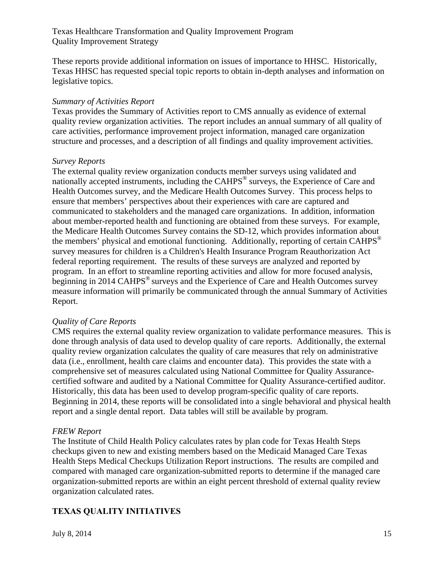These reports provide additional information on issues of importance to HHSC. Historically, Texas HHSC has requested special topic reports to obtain in-depth analyses and information on legislative topics.

#### *Summary of Activities Report*

Texas provides the Summary of Activities report to CMS annually as evidence of external quality review organization activities. The report includes an annual summary of all quality of care activities, performance improvement project information, managed care organization structure and processes, and a description of all findings and quality improvement activities.

#### *Survey Reports*

The external quality review organization conducts member surveys using validated and nationally accepted instruments, including the CAHPS<sup>®</sup> surveys, the Experience of Care and Health Outcomes survey, and the Medicare Health Outcomes Survey. This process helps to ensure that members' perspectives about their experiences with care are captured and communicated to stakeholders and the managed care organizations. In addition, information about member-reported health and functioning are obtained from these surveys. For example, the Medicare Health Outcomes Survey contains the SD-12, which provides information about the members' physical and emotional functioning. Additionally, reporting of certain CAHPS<sup>®</sup> survey measures for children is a Children's Health Insurance Program Reauthorization Act federal reporting requirement. The results of these surveys are analyzed and reported by program. In an effort to streamline reporting activities and allow for more focused analysis, beginning in 2014 CAHPS<sup>®</sup> surveys and the Experience of Care and Health Outcomes survey measure information will primarily be communicated through the annual Summary of Activities Report.

#### *Quality of Care Reports*

CMS requires the external quality review organization to validate performance measures. This is done through analysis of data used to develop quality of care reports. Additionally, the external quality review organization calculates the quality of care measures that rely on administrative data (i.e., enrollment, health care claims and encounter data). This provides the state with a comprehensive set of measures calculated using National Committee for Quality Assurancecertified software and audited by a National Committee for Quality Assurance-certified auditor. Historically, this data has been used to develop program-specific quality of care reports. Beginning in 2014, these reports will be consolidated into a single behavioral and physical health report and a single dental report. Data tables will still be available by program.

#### *FREW Report*

The Institute of Child Health Policy calculates rates by plan code for Texas Health Steps checkups given to new and existing members based on the Medicaid Managed Care Texas Health Steps Medical Checkups Utilization Report instructions. The results are compiled and compared with managed care organization-submitted reports to determine if the managed care organization-submitted reports are within an eight percent threshold of external quality review organization calculated rates.

## **TEXAS QUALITY INITIATIVES**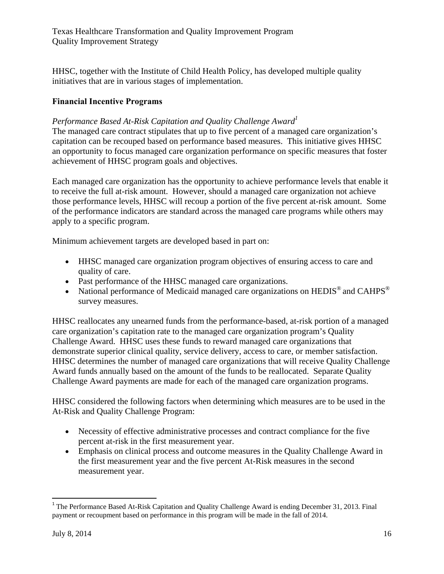HHSC, together with the Institute of Child Health Policy, has developed multiple quality initiatives that are in various stages of implementation.

## **Financial Incentive Programs**

## Performance Based At-Risk Capitation and Quality Challenge Award<sup>1</sup>

The managed care contract stipulates that up to five percent of a managed care organization's capitation can be recouped based on performance based measures. This initiative gives HHSC an opportunity to focus managed care organization performance on specific measures that foster achievement of HHSC program goals and objectives.

Each managed care organization has the opportunity to achieve performance levels that enable it to receive the full at-risk amount. However, should a managed care organization not achieve those performance levels, HHSC will recoup a portion of the five percent at-risk amount. Some of the performance indicators are standard across the managed care programs while others may apply to a specific program.

Minimum achievement targets are developed based in part on:

- HHSC managed care organization program objectives of ensuring access to care and quality of care.
- Past performance of the HHSC managed care organizations.
- National performance of Medicaid managed care organizations on HEDIS® and CAHPS® survey measures.

HHSC reallocates any unearned funds from the performance-based, at-risk portion of a managed care organization's capitation rate to the managed care organization program's Quality Challenge Award. HHSC uses these funds to reward managed care organizations that demonstrate superior clinical quality, service delivery, access to care, or member satisfaction. HHSC determines the number of managed care organizations that will receive Quality Challenge Award funds annually based on the amount of the funds to be reallocated. Separate Quality Challenge Award payments are made for each of the managed care organization programs.

HHSC considered the following factors when determining which measures are to be used in the At-Risk and Quality Challenge Program:

- Necessity of effective administrative processes and contract compliance for the five percent at-risk in the first measurement year.
- Emphasis on clinical process and outcome measures in the Quality Challenge Award in the first measurement year and the five percent At-Risk measures in the second measurement year.

<sup>&</sup>lt;sup>1</sup> The Performance Based At-Risk Capitation and Quality Challenge Award is ending December 31, 2013. Final payment or recoupment based on performance in this program will be made in the fall of 2014.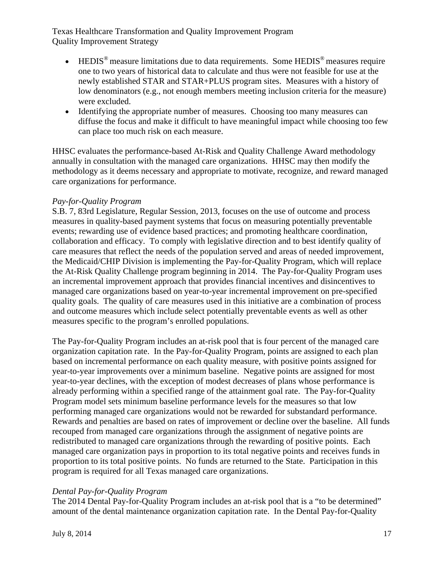- $\bullet$  HEDIS<sup>®</sup> measure limitations due to data requirements. Some HEDIS<sup>®</sup> measures require one to two years of historical data to calculate and thus were not feasible for use at the newly established STAR and STAR+PLUS program sites. Measures with a history of low denominators (e.g., not enough members meeting inclusion criteria for the measure) were excluded.
- Identifying the appropriate number of measures. Choosing too many measures can diffuse the focus and make it difficult to have meaningful impact while choosing too few can place too much risk on each measure.

HHSC evaluates the performance-based At-Risk and Quality Challenge Award methodology annually in consultation with the managed care organizations. HHSC may then modify the methodology as it deems necessary and appropriate to motivate, recognize, and reward managed care organizations for performance.

## *Pay-for-Quality Program*

S.B. 7, 83rd Legislature, Regular Session, 2013, focuses on the use of outcome and process measures in quality-based payment systems that focus on measuring potentially preventable events; rewarding use of evidence based practices; and promoting healthcare coordination, collaboration and efficacy. To comply with legislative direction and to best identify quality of care measures that reflect the needs of the population served and areas of needed improvement, the Medicaid/CHIP Division is implementing the Pay-for-Quality Program, which will replace the At-Risk Quality Challenge program beginning in 2014. The Pay-for-Quality Program uses an incremental improvement approach that provides financial incentives and disincentives to managed care organizations based on year-to-year incremental improvement on pre-specified quality goals. The quality of care measures used in this initiative are a combination of process and outcome measures which include select potentially preventable events as well as other measures specific to the program's enrolled populations.

The Pay-for-Quality Program includes an at-risk pool that is four percent of the managed care organization capitation rate. In the Pay-for-Quality Program, points are assigned to each plan based on incremental performance on each quality measure, with positive points assigned for year-to-year improvements over a minimum baseline. Negative points are assigned for most year-to-year declines, with the exception of modest decreases of plans whose performance is already performing within a specified range of the attainment goal rate. The Pay-for-Quality Program model sets minimum baseline performance levels for the measures so that low performing managed care organizations would not be rewarded for substandard performance. Rewards and penalties are based on rates of improvement or decline over the baseline. All funds recouped from managed care organizations through the assignment of negative points are redistributed to managed care organizations through the rewarding of positive points. Each managed care organization pays in proportion to its total negative points and receives funds in proportion to its total positive points. No funds are returned to the State. Participation in this program is required for all Texas managed care organizations.

#### *Dental Pay-for-Quality Program*

The 2014 Dental Pay-for-Quality Program includes an at-risk pool that is a "to be determined" amount of the dental maintenance organization capitation rate. In the Dental Pay-for-Quality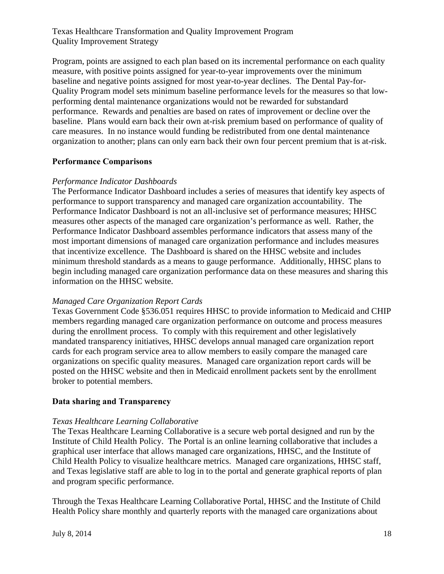Program, points are assigned to each plan based on its incremental performance on each quality measure, with positive points assigned for year-to-year improvements over the minimum baseline and negative points assigned for most year-to-year declines. The Dental Pay-for-Quality Program model sets minimum baseline performance levels for the measures so that lowperforming dental maintenance organizations would not be rewarded for substandard performance. Rewards and penalties are based on rates of improvement or decline over the baseline. Plans would earn back their own at-risk premium based on performance of quality of care measures. In no instance would funding be redistributed from one dental maintenance organization to another; plans can only earn back their own four percent premium that is at-risk.

#### **Performance Comparisons**

#### *Performance Indicator Dashboards*

The Performance Indicator Dashboard includes a series of measures that identify key aspects of performance to support transparency and managed care organization accountability. The Performance Indicator Dashboard is not an all-inclusive set of performance measures; HHSC measures other aspects of the managed care organization's performance as well. Rather, the Performance Indicator Dashboard assembles performance indicators that assess many of the most important dimensions of managed care organization performance and includes measures that incentivize excellence. The Dashboard is shared on the HHSC website and includes minimum threshold standards as a means to gauge performance. Additionally, HHSC plans to begin including managed care organization performance data on these measures and sharing this information on the HHSC website.

#### *Managed Care Organization Report Cards*

Texas Government Code §536.051 requires HHSC to provide information to Medicaid and CHIP members regarding managed care organization performance on outcome and process measures during the enrollment process. To comply with this requirement and other legislatively mandated transparency initiatives, HHSC develops annual managed care organization report cards for each program service area to allow members to easily compare the managed care organizations on specific quality measures. Managed care organization report cards will be posted on the HHSC website and then in Medicaid enrollment packets sent by the enrollment broker to potential members.

#### **Data sharing and Transparency**

#### *Texas Healthcare Learning Collaborative*

The Texas Healthcare Learning Collaborative is a secure web portal designed and run by the Institute of Child Health Policy. The Portal is an online learning collaborative that includes a graphical user interface that allows managed care organizations, HHSC, and the Institute of Child Health Policy to visualize healthcare metrics. Managed care organizations, HHSC staff, and Texas legislative staff are able to log in to the portal and generate graphical reports of plan and program specific performance.

Through the Texas Healthcare Learning Collaborative Portal, HHSC and the Institute of Child Health Policy share monthly and quarterly reports with the managed care organizations about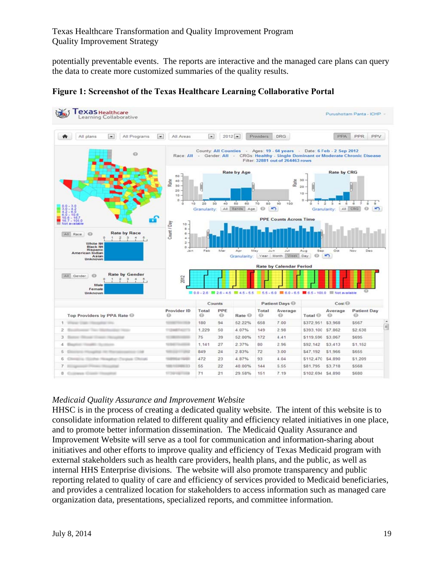potentially preventable events. The reports are interactive and the managed care plans can query the data to create more customized summaries of the quality results.



**Figure 1: Screenshot of the Texas Healthcare Learning Collaborative Portal** 

## *Medicaid Quality Assurance and Improvement Website*

HHSC is in the process of creating a dedicated quality website. The intent of this website is to consolidate information related to different quality and efficiency related initiatives in one place, and to promote better information dissemination. The Medicaid Quality Assurance and Improvement Website will serve as a tool for communication and information-sharing about initiatives and other efforts to improve quality and efficiency of Texas Medicaid program with external stakeholders such as health care providers, health plans, and the public, as well as internal HHS Enterprise divisions. The website will also promote transparency and public reporting related to quality of care and efficiency of services provided to Medicaid beneficiaries, and provides a centralized location for stakeholders to access information such as managed care organization data, presentations, specialized reports, and committee information.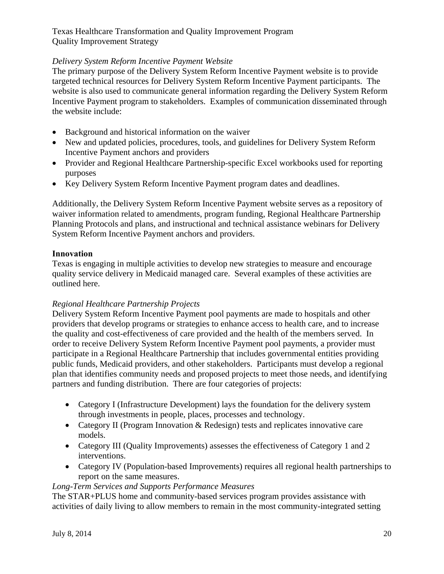## *Delivery System Reform Incentive Payment Website*

The primary purpose of the Delivery System Reform Incentive Payment website is to provide targeted technical resources for Delivery System Reform Incentive Payment participants. The website is also used to communicate general information regarding the Delivery System Reform Incentive Payment program to stakeholders. Examples of communication disseminated through the website include:

- Background and historical information on the waiver
- New and updated policies, procedures, tools, and guidelines for Delivery System Reform Incentive Payment anchors and providers
- Provider and Regional Healthcare Partnership-specific Excel workbooks used for reporting purposes
- Key Delivery System Reform Incentive Payment program dates and deadlines.

Additionally, the Delivery System Reform Incentive Payment website serves as a repository of waiver information related to amendments, program funding, Regional Healthcare Partnership Planning Protocols and plans, and instructional and technical assistance webinars for Delivery System Reform Incentive Payment anchors and providers.

## **Innovation**

Texas is engaging in multiple activities to develop new strategies to measure and encourage quality service delivery in Medicaid managed care. Several examples of these activities are outlined here.

## *Regional Healthcare Partnership Projects*

Delivery System Reform Incentive Payment pool payments are made to hospitals and other providers that develop programs or strategies to enhance access to health care, and to increase the quality and cost-effectiveness of care provided and the health of the members served. In order to receive Delivery System Reform Incentive Payment pool payments, a provider must participate in a Regional Healthcare Partnership that includes governmental entities providing public funds, Medicaid providers, and other stakeholders. Participants must develop a regional plan that identifies community needs and proposed projects to meet those needs, and identifying partners and funding distribution. There are four categories of projects:

- Category I (Infrastructure Development) lays the foundation for the delivery system through investments in people, places, processes and technology.
- Category II (Program Innovation & Redesign) tests and replicates innovative care models.
- Category III (Quality Improvements) assesses the effectiveness of Category 1 and 2 interventions.
- Category IV (Population-based Improvements) requires all regional health partnerships to report on the same measures.

## *Long-Term Services and Supports Performance Measures*

The STAR+PLUS home and community-based services program provides assistance with activities of daily living to allow members to remain in the most community-integrated setting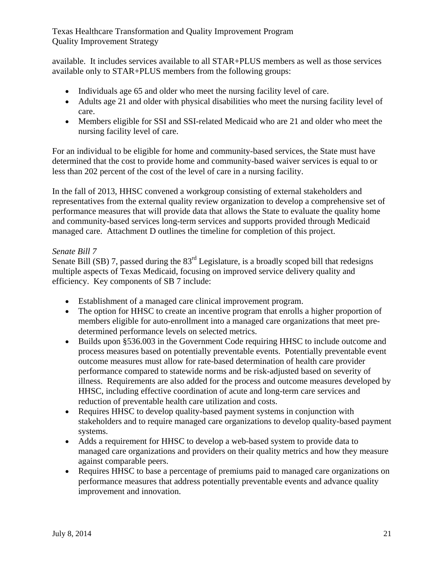available. It includes services available to all STAR+PLUS members as well as those services available only to STAR+PLUS members from the following groups:

- Individuals age 65 and older who meet the nursing facility level of care.
- Adults age 21 and older with physical disabilities who meet the nursing facility level of care.
- Members eligible for SSI and SSI-related Medicaid who are 21 and older who meet the nursing facility level of care.

For an individual to be eligible for home and community-based services, the State must have determined that the cost to provide home and community-based waiver services is equal to or less than 202 percent of the cost of the level of care in a nursing facility.

In the fall of 2013, HHSC convened a workgroup consisting of external stakeholders and representatives from the external quality review organization to develop a comprehensive set of performance measures that will provide data that allows the State to evaluate the quality home and community-based services long-term services and supports provided through Medicaid managed care. Attachment D outlines the timeline for completion of this project.

## *Senate Bill 7*

Senate Bill (SB) 7, passed during the  $83<sup>rd</sup>$  Legislature, is a broadly scoped bill that redesigns multiple aspects of Texas Medicaid, focusing on improved service delivery quality and efficiency. Key components of SB 7 include:

- Establishment of a managed care clinical improvement program.
- The option for HHSC to create an incentive program that enrolls a higher proportion of members eligible for auto-enrollment into a managed care organizations that meet predetermined performance levels on selected metrics.
- Builds upon §536.003 in the Government Code requiring HHSC to include outcome and process measures based on potentially preventable events. Potentially preventable event outcome measures must allow for rate-based determination of health care provider performance compared to statewide norms and be risk-adjusted based on severity of illness. Requirements are also added for the process and outcome measures developed by HHSC, including effective coordination of acute and long-term care services and reduction of preventable health care utilization and costs.
- Requires HHSC to develop quality-based payment systems in conjunction with stakeholders and to require managed care organizations to develop quality-based payment systems.
- Adds a requirement for HHSC to develop a web-based system to provide data to managed care organizations and providers on their quality metrics and how they measure against comparable peers.
- Requires HHSC to base a percentage of premiums paid to managed care organizations on performance measures that address potentially preventable events and advance quality improvement and innovation.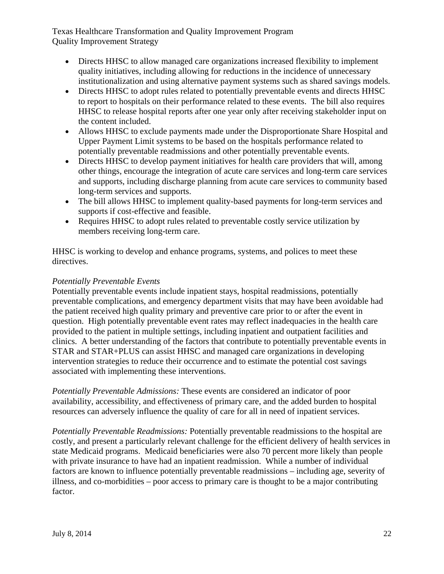- Directs HHSC to allow managed care organizations increased flexibility to implement quality initiatives, including allowing for reductions in the incidence of unnecessary institutionalization and using alternative payment systems such as shared savings models.
- Directs HHSC to adopt rules related to potentially preventable events and directs HHSC to report to hospitals on their performance related to these events. The bill also requires HHSC to release hospital reports after one year only after receiving stakeholder input on the content included.
- Allows HHSC to exclude payments made under the Disproportionate Share Hospital and Upper Payment Limit systems to be based on the hospitals performance related to potentially preventable readmissions and other potentially preventable events.
- Directs HHSC to develop payment initiatives for health care providers that will, among other things, encourage the integration of acute care services and long-term care services and supports, including discharge planning from acute care services to community based long-term services and supports.
- The bill allows HHSC to implement quality-based payments for long-term services and supports if cost-effective and feasible.
- Requires HHSC to adopt rules related to preventable costly service utilization by members receiving long-term care.

HHSC is working to develop and enhance programs, systems, and polices to meet these directives.

## *Potentially Preventable Events*

Potentially preventable events include inpatient stays, hospital readmissions, potentially preventable complications, and emergency department visits that may have been avoidable had the patient received high quality primary and preventive care prior to or after the event in question. High potentially preventable event rates may reflect inadequacies in the health care provided to the patient in multiple settings, including inpatient and outpatient facilities and clinics. A better understanding of the factors that contribute to potentially preventable events in STAR and STAR+PLUS can assist HHSC and managed care organizations in developing intervention strategies to reduce their occurrence and to estimate the potential cost savings associated with implementing these interventions.

*Potentially Preventable Admissions:* These events are considered an indicator of poor availability, accessibility, and effectiveness of primary care, and the added burden to hospital resources can adversely influence the quality of care for all in need of inpatient services.

*Potentially Preventable Readmissions:* Potentially preventable readmissions to the hospital are costly, and present a particularly relevant challenge for the efficient delivery of health services in state Medicaid programs. Medicaid beneficiaries were also 70 percent more likely than people with private insurance to have had an inpatient readmission. While a number of individual factors are known to influence potentially preventable readmissions – including age, severity of illness, and co-morbidities – poor access to primary care is thought to be a major contributing factor.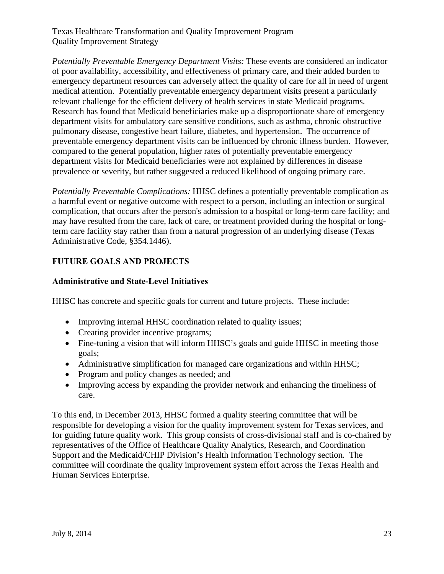*Potentially Preventable Emergency Department Visits:* These events are considered an indicator of poor availability, accessibility, and effectiveness of primary care, and their added burden to emergency department resources can adversely affect the quality of care for all in need of urgent medical attention. Potentially preventable emergency department visits present a particularly relevant challenge for the efficient delivery of health services in state Medicaid programs. Research has found that Medicaid beneficiaries make up a disproportionate share of emergency department visits for ambulatory care sensitive conditions, such as asthma, chronic obstructive pulmonary disease, congestive heart failure, diabetes, and hypertension. The occurrence of preventable emergency department visits can be influenced by chronic illness burden. However, compared to the general population, higher rates of potentially preventable emergency department visits for Medicaid beneficiaries were not explained by differences in disease prevalence or severity, but rather suggested a reduced likelihood of ongoing primary care.

*Potentially Preventable Complications:* HHSC defines a potentially preventable complication as a harmful event or negative outcome with respect to a person, including an infection or surgical complication, that occurs after the person's admission to a hospital or long-term care facility; and may have resulted from the care, lack of care, or treatment provided during the hospital or longterm care facility stay rather than from a natural progression of an underlying disease (Texas Administrative Code, §354.1446).

# **FUTURE GOALS AND PROJECTS**

## **Administrative and State-Level Initiatives**

HHSC has concrete and specific goals for current and future projects. These include:

- Improving internal HHSC coordination related to quality issues;
- Creating provider incentive programs;
- Fine-tuning a vision that will inform HHSC's goals and guide HHSC in meeting those goals;
- Administrative simplification for managed care organizations and within HHSC;
- Program and policy changes as needed; and
- Improving access by expanding the provider network and enhancing the timeliness of care.

To this end, in December 2013, HHSC formed a quality steering committee that will be responsible for developing a vision for the quality improvement system for Texas services, and for guiding future quality work. This group consists of cross-divisional staff and is co-chaired by representatives of the Office of Healthcare Quality Analytics, Research, and Coordination Support and the Medicaid/CHIP Division's Health Information Technology section. The committee will coordinate the quality improvement system effort across the Texas Health and Human Services Enterprise.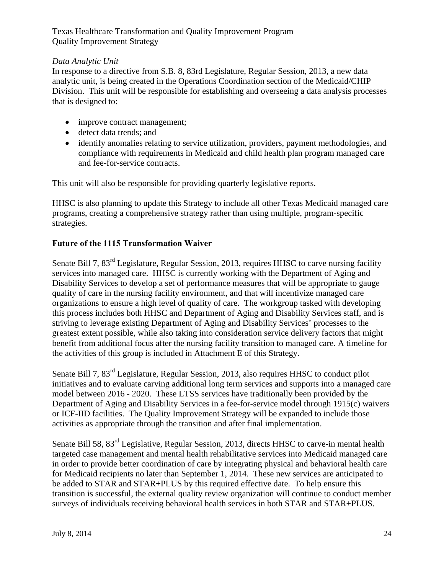## *Data Analytic Unit*

In response to a directive from S.B. 8, 83rd Legislature, Regular Session, 2013, a new data analytic unit, is being created in the Operations Coordination section of the Medicaid/CHIP Division. This unit will be responsible for establishing and overseeing a data analysis processes that is designed to:

- improve contract management;
- detect data trends: and
- identify anomalies relating to service utilization, providers, payment methodologies, and compliance with requirements in Medicaid and child health plan program managed care and fee-for-service contracts.

This unit will also be responsible for providing quarterly legislative reports.

HHSC is also planning to update this Strategy to include all other Texas Medicaid managed care programs, creating a comprehensive strategy rather than using multiple, program-specific strategies.

## **Future of the 1115 Transformation Waiver**

Senate Bill 7, 83<sup>rd</sup> Legislature, Regular Session, 2013, requires HHSC to carve nursing facility services into managed care. HHSC is currently working with the Department of Aging and Disability Services to develop a set of performance measures that will be appropriate to gauge quality of care in the nursing facility environment, and that will incentivize managed care organizations to ensure a high level of quality of care. The workgroup tasked with developing this process includes both HHSC and Department of Aging and Disability Services staff, and is striving to leverage existing Department of Aging and Disability Services' processes to the greatest extent possible, while also taking into consideration service delivery factors that might benefit from additional focus after the nursing facility transition to managed care. A timeline for the activities of this group is included in Attachment E of this Strategy.

Senate Bill 7, 83rd Legislature, Regular Session, 2013, also requires HHSC to conduct pilot initiatives and to evaluate carving additional long term services and supports into a managed care model between 2016 - 2020. These LTSS services have traditionally been provided by the Department of Aging and Disability Services in a fee-for-service model through 1915(c) waivers or ICF-IID facilities. The Quality Improvement Strategy will be expanded to include those activities as appropriate through the transition and after final implementation.

Senate Bill 58,  $83<sup>rd</sup>$  Legislative, Regular Session, 2013, directs HHSC to carve-in mental health targeted case management and mental health rehabilitative services into Medicaid managed care in order to provide better coordination of care by integrating physical and behavioral health care for Medicaid recipients no later than September 1, 2014. These new services are anticipated to be added to STAR and STAR+PLUS by this required effective date. To help ensure this transition is successful, the external quality review organization will continue to conduct member surveys of individuals receiving behavioral health services in both STAR and STAR+PLUS.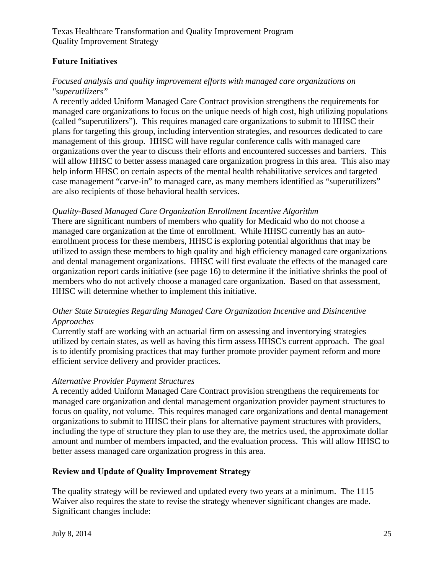## **Future Initiatives**

#### *Focused analysis and quality improvement efforts with managed care organizations on "superutilizers"*

A recently added Uniform Managed Care Contract provision strengthens the requirements for managed care organizations to focus on the unique needs of high cost, high utilizing populations (called "superutilizers"). This requires managed care organizations to submit to HHSC their plans for targeting this group, including intervention strategies, and resources dedicated to care management of this group. HHSC will have regular conference calls with managed care organizations over the year to discuss their efforts and encountered successes and barriers. This will allow HHSC to better assess managed care organization progress in this area. This also may help inform HHSC on certain aspects of the mental health rehabilitative services and targeted case management "carve-in" to managed care, as many members identified as "superutilizers" are also recipients of those behavioral health services.

#### *Quality-Based Managed Care Organization Enrollment Incentive Algorithm*

There are significant numbers of members who qualify for Medicaid who do not choose a managed care organization at the time of enrollment. While HHSC currently has an autoenrollment process for these members, HHSC is exploring potential algorithms that may be utilized to assign these members to high quality and high efficiency managed care organizations and dental management organizations. HHSC will first evaluate the effects of the managed care organization report cards initiative (see page 16) to determine if the initiative shrinks the pool of members who do not actively choose a managed care organization. Based on that assessment, HHSC will determine whether to implement this initiative.

#### *Other State Strategies Regarding Managed Care Organization Incentive and Disincentive Approaches*

Currently staff are working with an actuarial firm on assessing and inventorying strategies utilized by certain states, as well as having this firm assess HHSC's current approach. The goal is to identify promising practices that may further promote provider payment reform and more efficient service delivery and provider practices.

#### *Alternative Provider Payment Structures*

A recently added Uniform Managed Care Contract provision strengthens the requirements for managed care organization and dental management organization provider payment structures to focus on quality, not volume. This requires managed care organizations and dental management organizations to submit to HHSC their plans for alternative payment structures with providers, including the type of structure they plan to use they are, the metrics used, the approximate dollar amount and number of members impacted, and the evaluation process. This will allow HHSC to better assess managed care organization progress in this area.

#### **Review and Update of Quality Improvement Strategy**

The quality strategy will be reviewed and updated every two years at a minimum. The 1115 Waiver also requires the state to revise the strategy whenever significant changes are made. Significant changes include: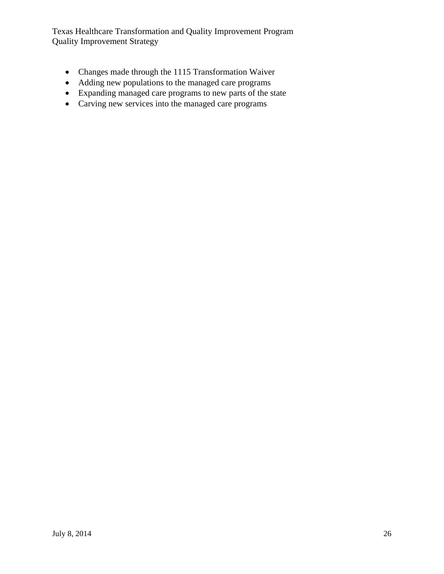- Changes made through the 1115 Transformation Waiver
- Adding new populations to the managed care programs
- Expanding managed care programs to new parts of the state
- Carving new services into the managed care programs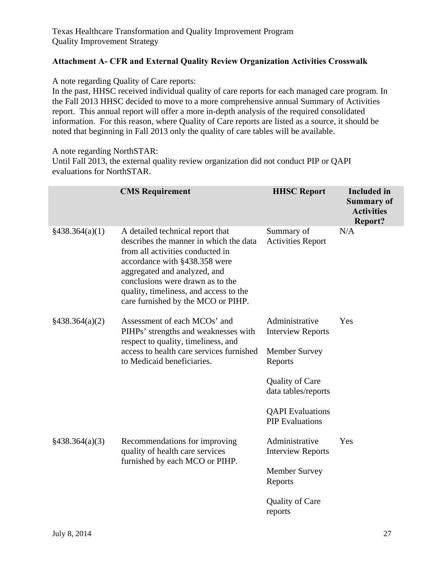## **Attachment A- CFR and External Quality Review Organization Activities Crosswalk**

A note regarding Quality of Care reports:

In the past, HHSC received individual quality of care reports for each managed care program. In the Fall 2013 HHSC decided to move to a more comprehensive annual Summary of Activities report. This annual report will offer a more in-depth analysis of the required consolidated information. For this reason, where Quality of Care reports are listed as a source, it should be noted that beginning in Fall 2013 only the quality of care tables will be available.

A note regarding NorthSTAR:

Until Fall 2013, the external quality review organization did not conduct PIP or QAPI evaluations for NorthSTAR.

|                            | <b>CMS</b> Requirement                                                                                                                                                                                                                                                                              | <b>HHSC Report</b>                                | <b>Included</b> in<br><b>Summary of</b><br><b>Activities</b><br><b>Report?</b> |
|----------------------------|-----------------------------------------------------------------------------------------------------------------------------------------------------------------------------------------------------------------------------------------------------------------------------------------------------|---------------------------------------------------|--------------------------------------------------------------------------------|
| §438.364(a)(1)             | A detailed technical report that<br>describes the manner in which the data<br>from all activities conducted in<br>accordance with §438.358 were<br>aggregated and analyzed, and<br>conclusions were drawn as to the<br>quality, timeliness, and access to the<br>care furnished by the MCO or PIHP. | Summary of<br><b>Activities Report</b>            | N/A                                                                            |
| §438.364(a)(2)             | Assessment of each MCOs' and<br>PIHPs' strengths and weaknesses with<br>respect to quality, timeliness, and                                                                                                                                                                                         | Administrative<br><b>Interview Reports</b>        | Yes                                                                            |
|                            | access to health care services furnished<br>to Medicaid beneficiaries.                                                                                                                                                                                                                              | <b>Member Survey</b><br>Reports                   |                                                                                |
|                            |                                                                                                                                                                                                                                                                                                     | <b>Quality of Care</b><br>data tables/reports     |                                                                                |
|                            |                                                                                                                                                                                                                                                                                                     | <b>QAPI</b> Evaluations<br><b>PIP</b> Evaluations |                                                                                |
| $\frac{2438.364(a)(3)}{2}$ | Recommendations for improving<br>quality of health care services<br>furnished by each MCO or PIHP.                                                                                                                                                                                                  | Administrative<br><b>Interview Reports</b>        | Yes                                                                            |
|                            |                                                                                                                                                                                                                                                                                                     | <b>Member Survey</b><br>Reports                   |                                                                                |
|                            |                                                                                                                                                                                                                                                                                                     | <b>Quality of Care</b><br>reports                 |                                                                                |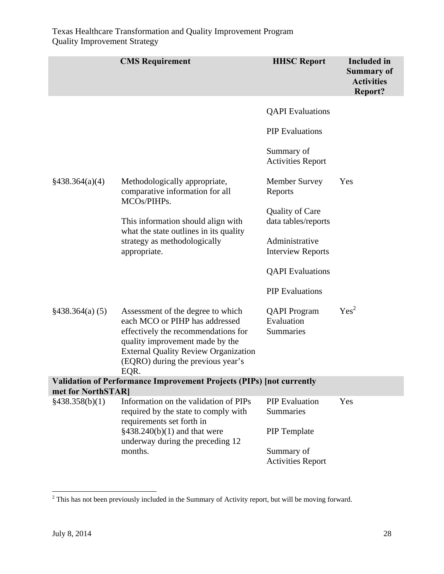|                    | <b>CMS</b> Requirement                                                                                                                                                                                                                    | <b>HHSC Report</b>                             | <b>Included</b> in<br><b>Summary of</b><br><b>Activities</b><br><b>Report?</b> |
|--------------------|-------------------------------------------------------------------------------------------------------------------------------------------------------------------------------------------------------------------------------------------|------------------------------------------------|--------------------------------------------------------------------------------|
|                    |                                                                                                                                                                                                                                           | <b>QAPI</b> Evaluations                        |                                                                                |
|                    |                                                                                                                                                                                                                                           | <b>PIP</b> Evaluations                         |                                                                                |
|                    |                                                                                                                                                                                                                                           | Summary of<br><b>Activities Report</b>         |                                                                                |
| §438.364(a)(4)     | Methodologically appropriate,<br>comparative information for all<br>MCOs/PIHPs.                                                                                                                                                           | <b>Member Survey</b><br>Reports                | Yes                                                                            |
|                    | This information should align with                                                                                                                                                                                                        | <b>Quality of Care</b><br>data tables/reports  |                                                                                |
|                    | what the state outlines in its quality<br>strategy as methodologically<br>appropriate.                                                                                                                                                    | Administrative<br><b>Interview Reports</b>     |                                                                                |
|                    |                                                                                                                                                                                                                                           | <b>QAPI</b> Evaluations                        |                                                                                |
|                    |                                                                                                                                                                                                                                           | <b>PIP</b> Evaluations                         |                                                                                |
| §438.364(a) (5)    | Assessment of the degree to which<br>each MCO or PIHP has addressed<br>effectively the recommendations for<br>quality improvement made by the<br><b>External Quality Review Organization</b><br>(EQRO) during the previous year's<br>EQR. | <b>QAPI</b> Program<br>Evaluation<br>Summaries | Yes <sup>2</sup>                                                               |
| met for NorthSTAR] | <b>Validation of Performance Improvement Projects (PIPs) [not currently</b>                                                                                                                                                               |                                                |                                                                                |
| §438.358(b)(1)     | Information on the validation of PIPs<br>required by the state to comply with<br>requirements set forth in                                                                                                                                | <b>PIP</b> Evaluation<br>Summaries             | Yes                                                                            |
|                    | $§438.240(b)(1)$ and that were<br>underway during the preceding 12                                                                                                                                                                        | <b>PIP</b> Template                            |                                                                                |
|                    | months.                                                                                                                                                                                                                                   | Summary of<br><b>Activities Report</b>         |                                                                                |

<sup>&</sup>lt;sup>2</sup> This has not been previously included in the Summary of Activity report, but will be moving forward.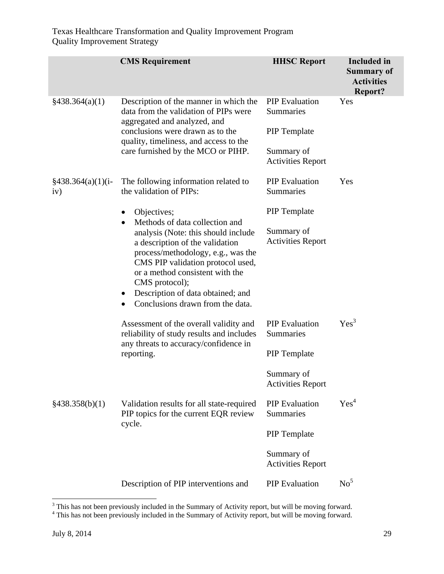|                                        | <b>CMS</b> Requirement                                                                                                                                                                                                                                                                                                         | <b>HHSC Report</b>                     | <b>Included</b> in<br><b>Summary of</b><br><b>Activities</b><br><b>Report?</b> |
|----------------------------------------|--------------------------------------------------------------------------------------------------------------------------------------------------------------------------------------------------------------------------------------------------------------------------------------------------------------------------------|----------------------------------------|--------------------------------------------------------------------------------|
| §438.364(a)(1)                         | Description of the manner in which the<br>data from the validation of PIPs were<br>aggregated and analyzed, and                                                                                                                                                                                                                | <b>PIP</b> Evaluation<br>Summaries     | Yes                                                                            |
|                                        | conclusions were drawn as to the<br>quality, timeliness, and access to the                                                                                                                                                                                                                                                     | <b>PIP</b> Template                    |                                                                                |
|                                        | care furnished by the MCO or PIHP.                                                                                                                                                                                                                                                                                             | Summary of<br><b>Activities Report</b> |                                                                                |
| $\frac{2438.364(a)(1)(i-1)}{4}$<br>iv) | The following information related to<br>the validation of PIPs:                                                                                                                                                                                                                                                                | <b>PIP</b> Evaluation<br>Summaries     | Yes                                                                            |
|                                        | Objectives;                                                                                                                                                                                                                                                                                                                    | <b>PIP</b> Template                    |                                                                                |
|                                        | Methods of data collection and<br>$\bullet$<br>analysis (Note: this should include<br>a description of the validation<br>process/methodology, e.g., was the<br>CMS PIP validation protocol used,<br>or a method consistent with the<br>CMS protocol);<br>Description of data obtained; and<br>Conclusions drawn from the data. | Summary of<br><b>Activities Report</b> |                                                                                |
|                                        | Assessment of the overall validity and<br>reliability of study results and includes<br>any threats to accuracy/confidence in<br>reporting.                                                                                                                                                                                     | <b>PIP</b> Evaluation<br>Summaries     | Yes <sup>3</sup>                                                               |
|                                        |                                                                                                                                                                                                                                                                                                                                | <b>PIP</b> Template                    |                                                                                |
|                                        |                                                                                                                                                                                                                                                                                                                                | Summary of<br><b>Activities Report</b> |                                                                                |
| §438.358(b)(1)                         | Validation results for all state-required<br>PIP topics for the current EQR review                                                                                                                                                                                                                                             | <b>PIP</b> Evaluation<br>Summaries     | Yes <sup>4</sup>                                                               |
|                                        | cycle.                                                                                                                                                                                                                                                                                                                         | <b>PIP</b> Template                    |                                                                                |
|                                        |                                                                                                                                                                                                                                                                                                                                | Summary of<br><b>Activities Report</b> |                                                                                |
|                                        | Description of PIP interventions and                                                                                                                                                                                                                                                                                           | <b>PIP</b> Evaluation                  | No <sup>5</sup>                                                                |

<sup>&</sup>lt;sup>3</sup> This has not been previously included in the Summary of Activity report, but will be moving forward.<br><sup>4</sup> This has not been previously included in the Summary of Activity report, but will be moving forward.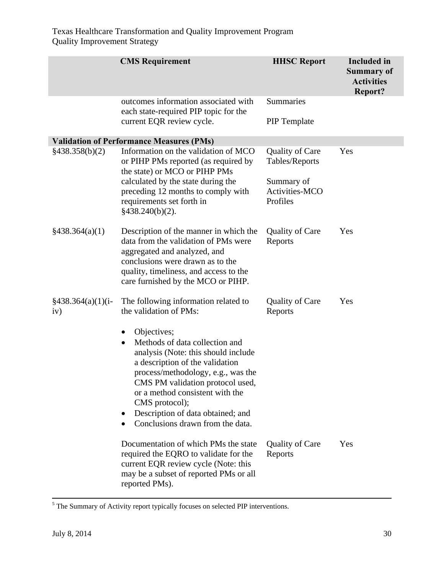|                                        | <b>CMS</b> Requirement                                                                                                                                                                                                                                                                                                                                    | <b>HHSC Report</b>                       | <b>Included</b> in<br><b>Summary of</b><br><b>Activities</b><br>Report? |
|----------------------------------------|-----------------------------------------------------------------------------------------------------------------------------------------------------------------------------------------------------------------------------------------------------------------------------------------------------------------------------------------------------------|------------------------------------------|-------------------------------------------------------------------------|
|                                        | outcomes information associated with<br>each state-required PIP topic for the                                                                                                                                                                                                                                                                             | Summaries                                |                                                                         |
|                                        | current EQR review cycle.                                                                                                                                                                                                                                                                                                                                 | <b>PIP</b> Template                      |                                                                         |
|                                        | <b>Validation of Performance Measures (PMs)</b>                                                                                                                                                                                                                                                                                                           |                                          |                                                                         |
| §438.358(b)(2)                         | Information on the validation of MCO<br>or PIHP PMs reported (as required by<br>the state) or MCO or PIHP PMs                                                                                                                                                                                                                                             | <b>Quality of Care</b><br>Tables/Reports | Yes                                                                     |
|                                        | calculated by the state during the<br>preceding 12 months to comply with<br>requirements set forth in<br>§438.240(b)(2).                                                                                                                                                                                                                                  | Summary of<br>Activities-MCO<br>Profiles |                                                                         |
| $\frac{$438.364(a)(1)}{4}$             | Description of the manner in which the<br>data from the validation of PMs were<br>aggregated and analyzed, and<br>conclusions were drawn as to the<br>quality, timeliness, and access to the<br>care furnished by the MCO or PIHP.                                                                                                                        | <b>Quality of Care</b><br>Reports        | Yes                                                                     |
| $\frac{2438.364(a)(1)(i-1)}{4}$<br>iv) | The following information related to<br>the validation of PMs:                                                                                                                                                                                                                                                                                            | <b>Quality of Care</b><br>Reports        | Yes                                                                     |
|                                        | Objectives;<br>$\bullet$<br>Methods of data collection and<br>$\bullet$<br>analysis (Note: this should include<br>a description of the validation<br>process/methodology, e.g., was the<br>CMS PM validation protocol used,<br>or a method consistent with the<br>CMS protocol);<br>Description of data obtained; and<br>Conclusions drawn from the data. |                                          |                                                                         |
|                                        | Documentation of which PMs the state<br>required the EQRO to validate for the<br>current EQR review cycle (Note: this<br>may be a subset of reported PMs or all<br>reported PMs).                                                                                                                                                                         | <b>Quality of Care</b><br>Reports        | Yes                                                                     |

<sup>&</sup>lt;sup>5</sup> The Summary of Activity report typically focuses on selected PIP interventions.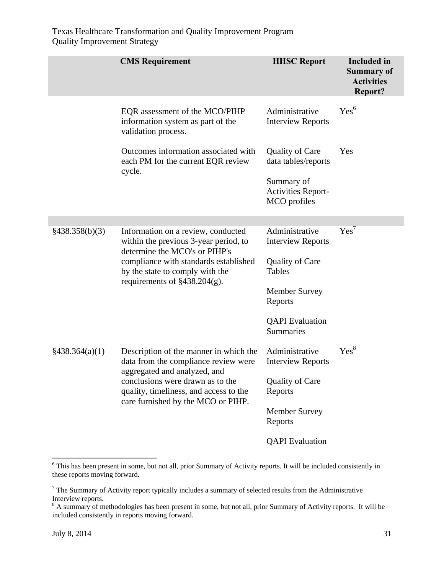|                | <b>CMS</b> Requirement                                                                                                                                                                                                      | <b>HHSC Report</b>                                      | <b>Included</b> in<br><b>Summary of</b><br><b>Activities</b><br>Report? |
|----------------|-----------------------------------------------------------------------------------------------------------------------------------------------------------------------------------------------------------------------------|---------------------------------------------------------|-------------------------------------------------------------------------|
|                | EQR assessment of the MCO/PIHP<br>information system as part of the<br>validation process.                                                                                                                                  | Administrative<br><b>Interview Reports</b>              | Yes <sup>6</sup>                                                        |
|                | Outcomes information associated with<br>each PM for the current EQR review<br>cycle.                                                                                                                                        | <b>Quality of Care</b><br>data tables/reports           | Yes                                                                     |
|                |                                                                                                                                                                                                                             | Summary of<br><b>Activities Report-</b><br>MCO profiles |                                                                         |
|                |                                                                                                                                                                                                                             |                                                         |                                                                         |
| §438.358(b)(3) | Information on a review, conducted<br>within the previous 3-year period, to<br>determine the MCO's or PIHP's<br>compliance with standards established<br>by the state to comply with the<br>requirements of $§438.204(g)$ . | Administrative<br><b>Interview Reports</b>              | Yes <sup>7</sup>                                                        |
|                |                                                                                                                                                                                                                             | <b>Quality of Care</b><br><b>Tables</b>                 |                                                                         |
|                |                                                                                                                                                                                                                             | <b>Member Survey</b><br>Reports                         |                                                                         |
|                |                                                                                                                                                                                                                             | <b>QAPI</b> Evaluation<br>Summaries                     |                                                                         |
| §438.364(a)(1) | Description of the manner in which the<br>data from the compliance review were<br>aggregated and analyzed, and                                                                                                              | Administrative<br><b>Interview Reports</b>              | Yes <sup>8</sup>                                                        |
|                | conclusions were drawn as to the<br>quality, timeliness, and access to the                                                                                                                                                  | Quality of Care<br>Reports                              |                                                                         |
|                | care furnished by the MCO or PIHP.                                                                                                                                                                                          | <b>Member Survey</b><br>Reports                         |                                                                         |
|                |                                                                                                                                                                                                                             | <b>QAPI</b> Evaluation                                  |                                                                         |

<sup>&</sup>lt;sup>6</sup> This has been present in some, but not all, prior Summary of Activity reports. It will be included consistently in these reports moving forward.

 $<sup>7</sup>$  The Summary of Activity report typically includes a summary of selected results from the Administrative</sup> Interview reports.

 $8$  A summary of methodologies has been present in some, but not all, prior Summary of Activity reports. It will be included consistently in reports moving forward.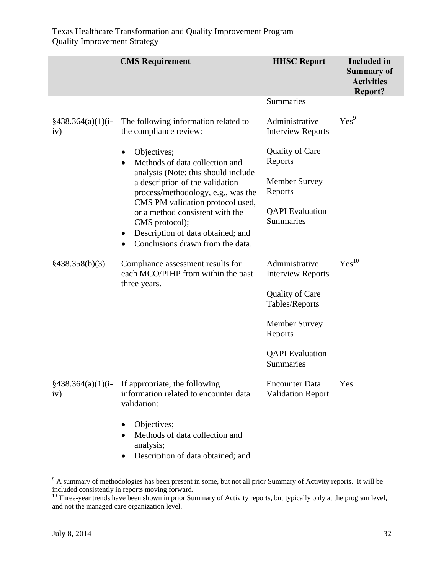|                                        | <b>CMS</b> Requirement                                                                                                                                                      | <b>HHSC Report</b>                                | <b>Included</b> in<br><b>Summary of</b><br><b>Activities</b><br><b>Report?</b> |
|----------------------------------------|-----------------------------------------------------------------------------------------------------------------------------------------------------------------------------|---------------------------------------------------|--------------------------------------------------------------------------------|
|                                        |                                                                                                                                                                             | <b>Summaries</b>                                  |                                                                                |
| $\frac{2438.364(a)(1)(i-1)}{4}$<br>iv) | The following information related to<br>the compliance review:                                                                                                              | Administrative<br><b>Interview Reports</b>        | Yes <sup>9</sup>                                                               |
|                                        | Objectives;<br>Methods of data collection and<br>$\bullet$                                                                                                                  | <b>Quality of Care</b><br>Reports                 |                                                                                |
|                                        | analysis (Note: this should include<br>a description of the validation<br>process/methodology, e.g., was the                                                                | <b>Member Survey</b><br>Reports                   |                                                                                |
|                                        | CMS PM validation protocol used,<br>or a method consistent with the<br>CMS protocol);<br>Description of data obtained; and<br>$\bullet$<br>Conclusions drawn from the data. | <b>QAPI</b> Evaluation<br>Summaries               |                                                                                |
| §438.358(b)(3)                         | Compliance assessment results for<br>each MCO/PIHP from within the past<br>three years.                                                                                     | Administrative<br><b>Interview Reports</b>        | $Yes^{10}$                                                                     |
|                                        |                                                                                                                                                                             | <b>Quality of Care</b><br>Tables/Reports          |                                                                                |
|                                        |                                                                                                                                                                             | <b>Member Survey</b><br>Reports                   |                                                                                |
|                                        |                                                                                                                                                                             | <b>QAPI</b> Evaluation<br>Summaries               |                                                                                |
| $§438.364(a)(1)(i-$<br>iv)             | If appropriate, the following<br>information related to encounter data<br>validation:                                                                                       | <b>Encounter Data</b><br><b>Validation Report</b> | Yes                                                                            |
|                                        | Objectives;<br>Methods of data collection and<br>analysis;<br>Description of data obtained; and                                                                             |                                                   |                                                                                |

<sup>&</sup>lt;sup>9</sup> A summary of methodologies has been present in some, but not all prior Summary of Activity reports. It will be included consistently in reports moving forward.

<sup>&</sup>lt;sup>10</sup> Three-year trends have been shown in prior Summary of Activity reports, but typically only at the program level, and not the managed care organization level.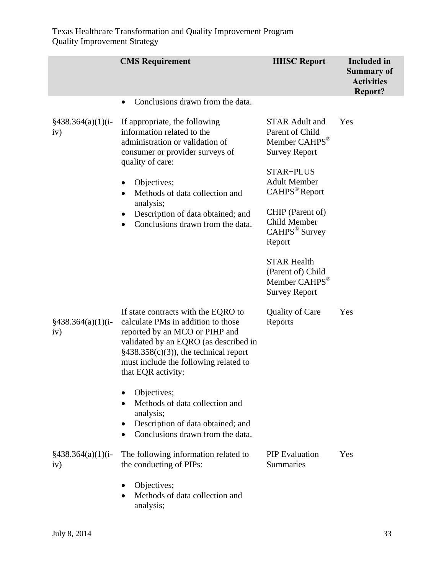|                                        | <b>CMS</b> Requirement                                                                                                                                                                                                                                                | <b>HHSC Report</b>                                                                                                                                                                 | <b>Included</b> in<br><b>Summary of</b><br><b>Activities</b><br><b>Report?</b> |
|----------------------------------------|-----------------------------------------------------------------------------------------------------------------------------------------------------------------------------------------------------------------------------------------------------------------------|------------------------------------------------------------------------------------------------------------------------------------------------------------------------------------|--------------------------------------------------------------------------------|
|                                        | Conclusions drawn from the data.                                                                                                                                                                                                                                      |                                                                                                                                                                                    |                                                                                |
| $\frac{2438.364(a)(1)(i-1)}{4}$<br>iv) | If appropriate, the following<br>information related to the<br>administration or validation of<br>consumer or provider surveys of<br>quality of care:<br>Objectives;<br>Methods of data collection and<br>$\bullet$<br>analysis;<br>Description of data obtained; and | <b>STAR Adult and</b><br>Parent of Child<br>Member CAHPS <sup>®</sup><br><b>Survey Report</b><br>STAR+PLUS<br><b>Adult Member</b><br>CAHPS <sup>®</sup> Report<br>CHIP (Parent of) | Yes                                                                            |
|                                        | Conclusions drawn from the data.                                                                                                                                                                                                                                      | Child Member<br>CAHPS <sup>®</sup> Survey<br>Report<br><b>STAR Health</b>                                                                                                          |                                                                                |
|                                        |                                                                                                                                                                                                                                                                       | (Parent of) Child<br>Member CAHPS <sup>®</sup><br><b>Survey Report</b>                                                                                                             |                                                                                |
| $§438.364(a)(1)(i-)$<br>iv)            | If state contracts with the EQRO to<br>calculate PMs in addition to those<br>reported by an MCO or PIHP and<br>validated by an EQRO (as described in<br>$§438.358(c)(3)$ , the technical report<br>must include the following related to<br>that EQR activity:        | <b>Quality of Care</b><br>Reports                                                                                                                                                  | Yes                                                                            |
|                                        | Objectives;<br>Methods of data collection and<br>analysis;<br>Description of data obtained; and<br>Conclusions drawn from the data.                                                                                                                                   |                                                                                                                                                                                    |                                                                                |
| $\frac{2438.364(a)(1)(i-1)}{4}$<br>iv) | The following information related to<br>the conducting of PIPs:                                                                                                                                                                                                       | <b>PIP</b> Evaluation<br>Summaries                                                                                                                                                 | Yes                                                                            |
|                                        | Objectives;<br>Methods of data collection and<br>analysis;                                                                                                                                                                                                            |                                                                                                                                                                                    |                                                                                |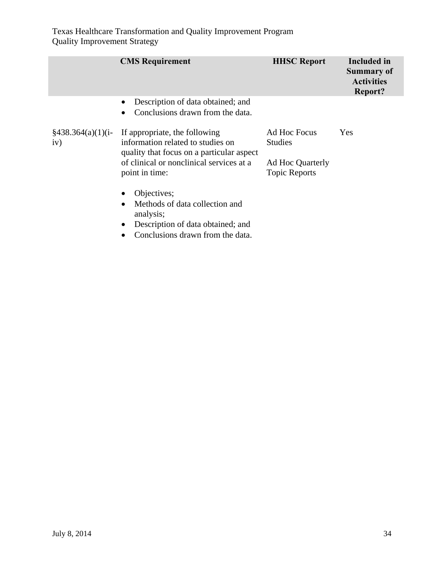|                                        | <b>CMS</b> Requirement                                                                                          | <b>HHSC Report</b>                       | <b>Included</b> in<br>Summary of<br><b>Activities</b><br><b>Report?</b> |
|----------------------------------------|-----------------------------------------------------------------------------------------------------------------|------------------------------------------|-------------------------------------------------------------------------|
|                                        | Description of data obtained; and<br>$\bullet$<br>Conclusions drawn from the data.                              |                                          |                                                                         |
| $\frac{2438.364(a)(1)(i-1)}{4}$<br>iv) | If appropriate, the following<br>information related to studies on<br>quality that focus on a particular aspect | Ad Hoc Focus<br><b>Studies</b>           | Yes                                                                     |
|                                        | of clinical or nonclinical services at a<br>point in time:                                                      | Ad Hoc Quarterly<br><b>Topic Reports</b> |                                                                         |
|                                        | Objectives;<br>Methods of data collection and<br>analysis;                                                      |                                          |                                                                         |
|                                        | Description of data obtained; and<br>Conclusions drawn from the data.                                           |                                          |                                                                         |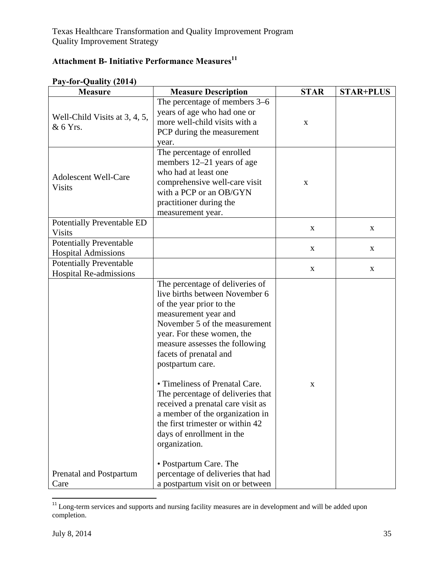# **Attachment B- Initiative Performance Measures**  $^{11}$

| $101$ Quality ( $2011$<br><b>Measure</b>                     | <b>Measure Description</b>                                                                                                                                                                                                                                                                                                                                                                                                                                                                                                                                                                               | <b>STAR</b> | <b>STAR+PLUS</b> |
|--------------------------------------------------------------|----------------------------------------------------------------------------------------------------------------------------------------------------------------------------------------------------------------------------------------------------------------------------------------------------------------------------------------------------------------------------------------------------------------------------------------------------------------------------------------------------------------------------------------------------------------------------------------------------------|-------------|------------------|
| Well-Child Visits at 3, 4, 5,<br>& 6 Yrs.                    | The percentage of members 3–6<br>years of age who had one or<br>more well-child visits with a<br>PCP during the measurement<br>year.                                                                                                                                                                                                                                                                                                                                                                                                                                                                     | $\mathbf X$ |                  |
| <b>Adolescent Well-Care</b><br><b>Visits</b>                 | The percentage of enrolled<br>members 12–21 years of age<br>who had at least one<br>comprehensive well-care visit<br>with a PCP or an OB/GYN<br>practitioner during the<br>measurement year.                                                                                                                                                                                                                                                                                                                                                                                                             | $\mathbf X$ |                  |
| Potentially Preventable ED<br><b>Visits</b>                  |                                                                                                                                                                                                                                                                                                                                                                                                                                                                                                                                                                                                          | $\mathbf X$ | X                |
| <b>Potentially Preventable</b><br><b>Hospital Admissions</b> |                                                                                                                                                                                                                                                                                                                                                                                                                                                                                                                                                                                                          | X           | X                |
| <b>Potentially Preventable</b><br>Hospital Re-admissions     |                                                                                                                                                                                                                                                                                                                                                                                                                                                                                                                                                                                                          | X           | X                |
| Prenatal and Postpartum<br>Care                              | The percentage of deliveries of<br>live births between November 6<br>of the year prior to the<br>measurement year and<br>November 5 of the measurement<br>year. For these women, the<br>measure assesses the following<br>facets of prenatal and<br>postpartum care.<br>• Timeliness of Prenatal Care.<br>The percentage of deliveries that<br>received a prenatal care visit as<br>a member of the organization in<br>the first trimester or within 42<br>days of enrollment in the<br>organization.<br>• Postpartum Care. The<br>percentage of deliveries that had<br>a postpartum visit on or between | X           |                  |

# **Pay-for-Quality (2014)**

  $11$  Long-term services and supports and nursing facility measures are in development and will be added upon completion.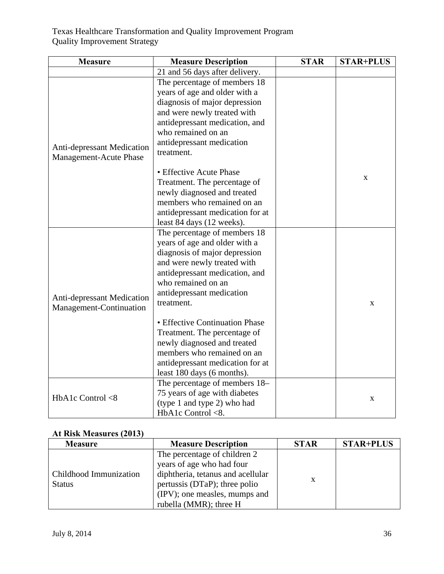| <b>Measure</b>                                              | <b>Measure Description</b>                                                                                                                                                                                                                                                                         | <b>STAR</b> | <b>STAR+PLUS</b> |
|-------------------------------------------------------------|----------------------------------------------------------------------------------------------------------------------------------------------------------------------------------------------------------------------------------------------------------------------------------------------------|-------------|------------------|
|                                                             | 21 and 56 days after delivery.                                                                                                                                                                                                                                                                     |             |                  |
|                                                             | The percentage of members 18<br>years of age and older with a<br>diagnosis of major depression<br>and were newly treated with<br>antidepressant medication, and                                                                                                                                    |             |                  |
| Anti-depressant Medication<br><b>Management-Acute Phase</b> | who remained on an<br>antidepressant medication<br>treatment.                                                                                                                                                                                                                                      |             |                  |
|                                                             | • Effective Acute Phase<br>Treatment. The percentage of<br>newly diagnosed and treated<br>members who remained on an<br>antidepressant medication for at<br>least 84 days (12 weeks).                                                                                                              |             | X                |
| Anti-depressant Medication<br>Management-Continuation       | The percentage of members 18<br>years of age and older with a<br>diagnosis of major depression<br>and were newly treated with<br>antidepressant medication, and<br>who remained on an<br>antidepressant medication<br>treatment.<br>• Effective Continuation Phase<br>Treatment. The percentage of |             | X                |
|                                                             | newly diagnosed and treated<br>members who remained on an<br>antidepressant medication for at<br>least 180 days (6 months).                                                                                                                                                                        |             |                  |
| HbA1c Control <8                                            | The percentage of members 18–<br>75 years of age with diabetes<br>(type 1 and type 2) who had<br>HbA1c Control <8.                                                                                                                                                                                 |             | X                |

# **At Risk Measures (2013)**

| <b>Measure</b>                          | <b>Measure Description</b>                                                                                                                                                                 | <b>STAR</b> | <b>STAR+PLUS</b> |
|-----------------------------------------|--------------------------------------------------------------------------------------------------------------------------------------------------------------------------------------------|-------------|------------------|
| Childhood Immunization<br><b>Status</b> | The percentage of children 2<br>years of age who had four<br>diphtheria, tetanus and acellular<br>pertussis (DTaP); three polio<br>(IPV); one measles, mumps and<br>rubella (MMR); three H | X           |                  |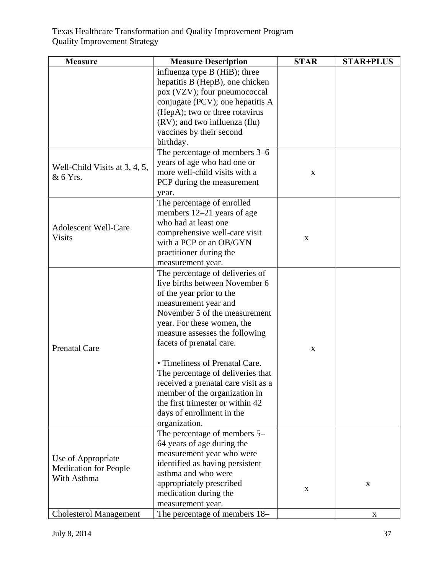| <b>Measure</b>                | <b>Measure Description</b>          | <b>STAR</b> | <b>STAR+PLUS</b> |
|-------------------------------|-------------------------------------|-------------|------------------|
|                               | influenza type B (HiB); three       |             |                  |
|                               | hepatitis B (HepB), one chicken     |             |                  |
|                               | pox (VZV); four pneumococcal        |             |                  |
|                               | conjugate (PCV); one hepatitis A    |             |                  |
|                               | (HepA); two or three rotavirus      |             |                  |
|                               | (RV); and two influenza (flu)       |             |                  |
|                               | vaccines by their second            |             |                  |
|                               | birthday.                           |             |                  |
|                               | The percentage of members 3–6       |             |                  |
| Well-Child Visits at 3, 4, 5, | years of age who had one or         |             |                  |
| & 6 Yrs.                      | more well-child visits with a       | $\mathbf X$ |                  |
|                               | PCP during the measurement          |             |                  |
|                               | year.                               |             |                  |
|                               | The percentage of enrolled          |             |                  |
|                               | members 12–21 years of age          |             |                  |
| <b>Adolescent Well-Care</b>   | who had at least one                |             |                  |
| <b>Visits</b>                 | comprehensive well-care visit       | X           |                  |
|                               | with a PCP or an OB/GYN             |             |                  |
|                               | practitioner during the             |             |                  |
|                               | measurement year.                   |             |                  |
|                               | The percentage of deliveries of     |             |                  |
|                               | live births between November 6      |             |                  |
|                               | of the year prior to the            |             |                  |
|                               | measurement year and                |             |                  |
|                               | November 5 of the measurement       |             |                  |
|                               | year. For these women, the          |             |                  |
|                               | measure assesses the following      |             |                  |
| <b>Prenatal Care</b>          | facets of prenatal care.            | $\mathbf X$ |                  |
|                               |                                     |             |                  |
|                               | • Timeliness of Prenatal Care.      |             |                  |
|                               | The percentage of deliveries that   |             |                  |
|                               | received a prenatal care visit as a |             |                  |
|                               | member of the organization in       |             |                  |
|                               | the first trimester or within 42    |             |                  |
|                               | days of enrollment in the           |             |                  |
|                               | organization.                       |             |                  |
|                               | The percentage of members 5-        |             |                  |
|                               | 64 years of age during the          |             |                  |
| Use of Appropriate            | measurement year who were           |             |                  |
| <b>Medication for People</b>  | identified as having persistent     |             |                  |
| With Asthma                   | asthma and who were                 |             |                  |
|                               | appropriately prescribed            | $\mathbf X$ | X                |
|                               | medication during the               |             |                  |
|                               | measurement year.                   |             |                  |
| <b>Cholesterol Management</b> | The percentage of members 18–       |             | X                |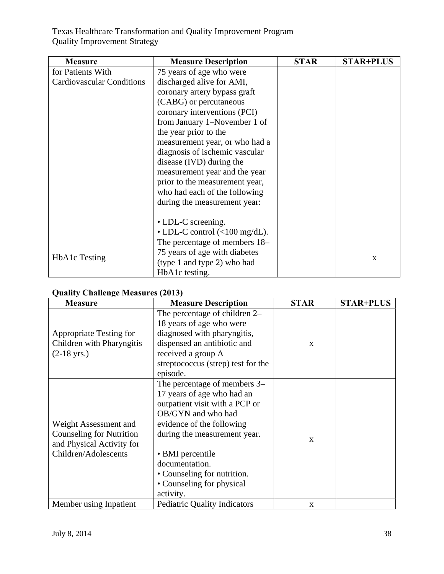| <b>Measure</b>                   | <b>Measure Description</b>                                 | <b>STAR</b> | <b>STAR+PLUS</b> |
|----------------------------------|------------------------------------------------------------|-------------|------------------|
| for Patients With                | 75 years of age who were                                   |             |                  |
| <b>Cardiovascular Conditions</b> | discharged alive for AMI,                                  |             |                  |
|                                  | coronary artery bypass graft                               |             |                  |
|                                  | (CABG) or percutaneous                                     |             |                  |
|                                  | coronary interventions (PCI)                               |             |                  |
|                                  | from January 1–November 1 of                               |             |                  |
|                                  | the year prior to the                                      |             |                  |
|                                  | measurement year, or who had a                             |             |                  |
|                                  | diagnosis of ischemic vascular                             |             |                  |
|                                  | disease (IVD) during the                                   |             |                  |
|                                  | measurement year and the year                              |             |                  |
|                                  | prior to the measurement year,                             |             |                  |
|                                  | who had each of the following                              |             |                  |
|                                  | during the measurement year:                               |             |                  |
|                                  |                                                            |             |                  |
|                                  | • LDL-C screening.                                         |             |                  |
|                                  | • LDL-C control $\left(\langle 100 \text{ mg/dL}\right)$ . |             |                  |
|                                  | The percentage of members 18–                              |             |                  |
|                                  | 75 years of age with diabetes                              |             |                  |
| <b>HbA1c</b> Testing             | (type 1 and type 2) who had                                |             | X                |
|                                  | HbA1c testing.                                             |             |                  |

|  |  | <b>Quality Challenge Measures (2013)</b> |  |  |
|--|--|------------------------------------------|--|--|
|--|--|------------------------------------------|--|--|

| <b>Measure</b>                  | <b>Measure Description</b>          | <b>STAR</b>  | <b>STAR+PLUS</b> |
|---------------------------------|-------------------------------------|--------------|------------------|
|                                 | The percentage of children 2–       |              |                  |
|                                 | 18 years of age who were            |              |                  |
| Appropriate Testing for         | diagnosed with pharyngitis,         |              |                  |
| Children with Pharyngitis       | dispensed an antibiotic and         | $\mathbf{x}$ |                  |
| $(2-18 \text{ yrs.})$           | received a group A                  |              |                  |
|                                 | streptococcus (strep) test for the  |              |                  |
|                                 | episode.                            |              |                  |
|                                 | The percentage of members 3–        |              |                  |
|                                 | 17 years of age who had an          |              |                  |
|                                 | outpatient visit with a PCP or      |              |                  |
|                                 | OB/GYN and who had                  |              |                  |
| Weight Assessment and           | evidence of the following           |              |                  |
| <b>Counseling for Nutrition</b> | during the measurement year.        | $\mathbf{X}$ |                  |
| and Physical Activity for       |                                     |              |                  |
| Children/Adolescents            | • BMI percentile                    |              |                  |
|                                 | documentation.                      |              |                  |
|                                 | • Counseling for nutrition.         |              |                  |
|                                 | • Counseling for physical           |              |                  |
|                                 | activity.                           |              |                  |
| Member using Inpatient          | <b>Pediatric Quality Indicators</b> | X            |                  |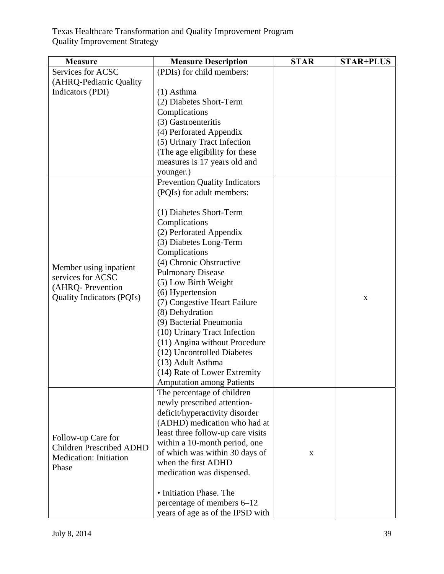| <b>Measure</b>                   | <b>Measure Description</b>           | <b>STAR</b> | <b>STAR+PLUS</b> |
|----------------------------------|--------------------------------------|-------------|------------------|
| Services for ACSC                | (PDIs) for child members:            |             |                  |
| (AHRQ-Pediatric Quality          |                                      |             |                  |
| Indicators (PDI)                 | $(1)$ Asthma                         |             |                  |
|                                  | (2) Diabetes Short-Term              |             |                  |
|                                  | Complications                        |             |                  |
|                                  | (3) Gastroenteritis                  |             |                  |
|                                  | (4) Perforated Appendix              |             |                  |
|                                  | (5) Urinary Tract Infection          |             |                  |
|                                  | (The age eligibility for these       |             |                  |
|                                  | measures is 17 years old and         |             |                  |
|                                  | younger.)                            |             |                  |
|                                  | <b>Prevention Quality Indicators</b> |             |                  |
|                                  | (PQIs) for adult members:            |             |                  |
|                                  |                                      |             |                  |
|                                  | (1) Diabetes Short-Term              |             |                  |
|                                  | Complications                        |             |                  |
|                                  | (2) Perforated Appendix              |             |                  |
|                                  | (3) Diabetes Long-Term               |             |                  |
|                                  | Complications                        |             |                  |
|                                  | (4) Chronic Obstructive              |             |                  |
| Member using inpatient           | <b>Pulmonary Disease</b>             |             |                  |
| services for ACSC                | (5) Low Birth Weight                 |             |                  |
| (AHRQ-Prevention                 | (6) Hypertension                     |             |                  |
| <b>Quality Indicators (PQIs)</b> | (7) Congestive Heart Failure         |             | $\mathbf X$      |
|                                  | (8) Dehydration                      |             |                  |
|                                  | (9) Bacterial Pneumonia              |             |                  |
|                                  | (10) Urinary Tract Infection         |             |                  |
|                                  | (11) Angina without Procedure        |             |                  |
|                                  | (12) Uncontrolled Diabetes           |             |                  |
|                                  | (13) Adult Asthma                    |             |                  |
|                                  | (14) Rate of Lower Extremity         |             |                  |
|                                  | <b>Amputation among Patients</b>     |             |                  |
|                                  | The percentage of children           |             |                  |
|                                  | newly prescribed attention-          |             |                  |
|                                  | deficit/hyperactivity disorder       |             |                  |
|                                  | (ADHD) medication who had at         |             |                  |
|                                  | least three follow-up care visits    |             |                  |
| Follow-up Care for               | within a 10-month period, one        |             |                  |
| <b>Children Prescribed ADHD</b>  | of which was within 30 days of       | X           |                  |
| Medication: Initiation           | when the first ADHD                  |             |                  |
| Phase                            | medication was dispensed.            |             |                  |
|                                  |                                      |             |                  |
|                                  | • Initiation Phase. The              |             |                  |
|                                  | percentage of members 6–12           |             |                  |
|                                  | years of age as of the IPSD with     |             |                  |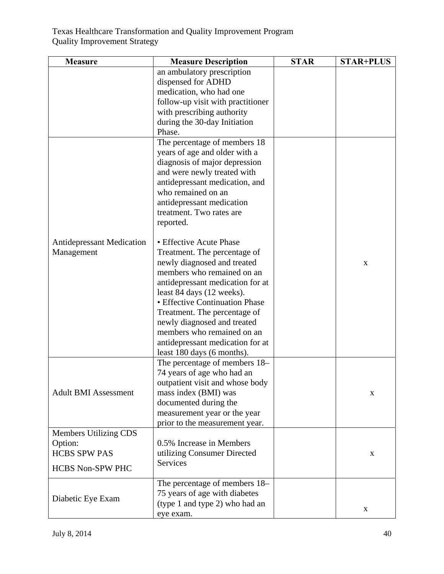| <b>Measure</b>                                 | <b>Measure Description</b>                                                                                                                                                                                                                                                                                                                                                             | <b>STAR</b> | <b>STAR+PLUS</b> |
|------------------------------------------------|----------------------------------------------------------------------------------------------------------------------------------------------------------------------------------------------------------------------------------------------------------------------------------------------------------------------------------------------------------------------------------------|-------------|------------------|
|                                                | an ambulatory prescription<br>dispensed for ADHD<br>medication, who had one<br>follow-up visit with practitioner<br>with prescribing authority<br>during the 30-day Initiation<br>Phase.<br>The percentage of members 18                                                                                                                                                               |             |                  |
|                                                | years of age and older with a<br>diagnosis of major depression<br>and were newly treated with<br>antidepressant medication, and<br>who remained on an<br>antidepressant medication<br>treatment. Two rates are<br>reported.                                                                                                                                                            |             |                  |
| <b>Antidepressant Medication</b><br>Management | • Effective Acute Phase<br>Treatment. The percentage of<br>newly diagnosed and treated<br>members who remained on an<br>antidepressant medication for at<br>least 84 days (12 weeks).<br>• Effective Continuation Phase<br>Treatment. The percentage of<br>newly diagnosed and treated<br>members who remained on an<br>antidepressant medication for at<br>least 180 days (6 months). |             | X                |
| <b>Adult BMI Assessment</b>                    | The percentage of members 18–<br>74 years of age who had an<br>outpatient visit and whose body<br>mass index (BMI) was<br>documented during the<br>measurement year or the year<br>prior to the measurement year.                                                                                                                                                                      |             | X                |
| Members Utilizing CDS                          |                                                                                                                                                                                                                                                                                                                                                                                        |             |                  |
| Option:<br><b>HCBS SPW PAS</b>                 | 0.5% Increase in Members                                                                                                                                                                                                                                                                                                                                                               |             |                  |
|                                                | utilizing Consumer Directed<br>Services                                                                                                                                                                                                                                                                                                                                                |             | X                |
| <b>HCBS Non-SPW PHC</b>                        |                                                                                                                                                                                                                                                                                                                                                                                        |             |                  |
| Diabetic Eye Exam                              | The percentage of members 18–<br>75 years of age with diabetes<br>(type 1 and type 2) who had an<br>eye exam.                                                                                                                                                                                                                                                                          |             | X                |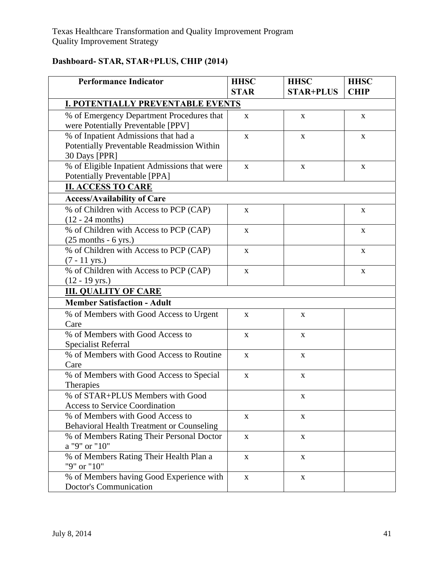# **Dashboard- STAR, STAR+PLUS, CHIP (2014)**

| <b>Performance Indicator</b>                                                                        | <b>HHSC</b><br><b>STAR</b> | <b>HHSC</b><br><b>STAR+PLUS</b> | <b>HHSC</b><br><b>CHIP</b> |
|-----------------------------------------------------------------------------------------------------|----------------------------|---------------------------------|----------------------------|
| <b>I. POTENTIALLY PREVENTABLE EVENTS</b>                                                            |                            |                                 |                            |
| % of Emergency Department Procedures that<br>were Potentially Preventable [PPV]                     | $\mathbf{X}$               | $\mathbf{X}$                    | X                          |
| % of Inpatient Admissions that had a<br>Potentially Preventable Readmission Within<br>30 Days [PPR] | $\mathbf X$                | $\mathbf X$                     | $\mathbf X$                |
| % of Eligible Inpatient Admissions that were<br>Potentially Preventable [PPA]                       | $\mathbf X$                | $\mathbf X$                     | $\mathbf X$                |
| <b>II. ACCESS TO CARE</b>                                                                           |                            |                                 |                            |
| <b>Access/Availability of Care</b>                                                                  |                            |                                 |                            |
| % of Children with Access to PCP (CAP)<br>$(12 - 24$ months)                                        | $\mathbf X$                |                                 | $\mathbf X$                |
| % of Children with Access to PCP (CAP)<br>$(25$ months - 6 yrs.)                                    | X                          |                                 | $\mathbf X$                |
| % of Children with Access to PCP (CAP)<br>$(7 - 11 \text{ yrs.})$                                   | $\mathbf{X}$               |                                 | $\mathbf X$                |
| % of Children with Access to PCP (CAP)<br>$(12 - 19 \text{ yrs.})$                                  | $\mathbf X$                |                                 | $\mathbf X$                |
| <b>III. QUALITY OF CARE</b>                                                                         |                            |                                 |                            |
| <b>Member Satisfaction - Adult</b>                                                                  |                            |                                 |                            |
| % of Members with Good Access to Urgent<br>Care                                                     | $\mathbf X$                | $\mathbf X$                     |                            |
| % of Members with Good Access to<br><b>Specialist Referral</b>                                      | X                          | $\mathbf{X}$                    |                            |
| % of Members with Good Access to Routine<br>Care                                                    | $\mathbf X$                | $\mathbf{X}$                    |                            |
| % of Members with Good Access to Special<br>Therapies                                               | $\mathbf X$                | $\mathbf X$                     |                            |
| % of STAR+PLUS Members with Good<br><b>Access to Service Coordination</b>                           |                            | X                               |                            |
| % of Members with Good Access to<br><b>Behavioral Health Treatment or Counseling</b>                | $\mathbf X$                | $\mathbf X$                     |                            |
| % of Members Rating Their Personal Doctor<br>a "9" or "10"                                          | X                          | $\mathbf X$                     |                            |
| % of Members Rating Their Health Plan a<br>"9" or "10"                                              | X                          | X                               |                            |
| % of Members having Good Experience with<br><b>Doctor's Communication</b>                           | $\mathbf X$                | $\mathbf X$                     |                            |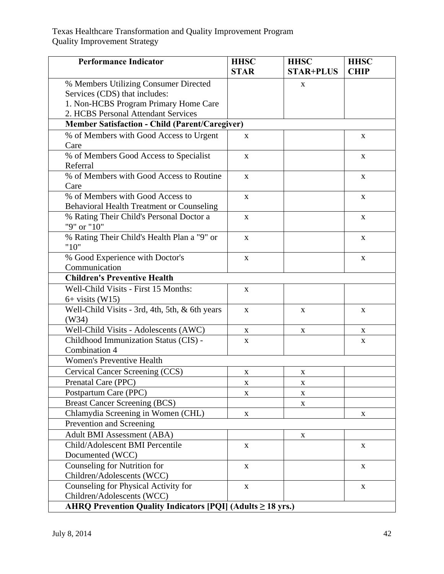| <b>Performance Indicator</b>                                       | <b>HHSC</b><br><b>STAR</b> | <b>HHSC</b><br><b>STAR+PLUS</b> | <b>HHSC</b><br><b>CHIP</b> |
|--------------------------------------------------------------------|----------------------------|---------------------------------|----------------------------|
| % Members Utilizing Consumer Directed                              |                            | $\mathbf{X}$                    |                            |
| Services (CDS) that includes:                                      |                            |                                 |                            |
| 1. Non-HCBS Program Primary Home Care                              |                            |                                 |                            |
| 2. HCBS Personal Attendant Services                                |                            |                                 |                            |
| <b>Member Satisfaction - Child (Parent/Caregiver)</b>              |                            |                                 |                            |
| % of Members with Good Access to Urgent                            | X                          |                                 | X                          |
| Care                                                               |                            |                                 |                            |
| % of Members Good Access to Specialist                             | X                          |                                 | X                          |
| Referral                                                           |                            |                                 |                            |
| % of Members with Good Access to Routine                           | $\mathbf X$                |                                 | $\mathbf X$                |
| Care                                                               |                            |                                 |                            |
| % of Members with Good Access to                                   | $\mathbf X$                |                                 | $\mathbf X$                |
| <b>Behavioral Health Treatment or Counseling</b>                   |                            |                                 |                            |
| % Rating Their Child's Personal Doctor a                           | X                          |                                 | $\mathbf X$                |
| "9" or "10"                                                        |                            |                                 |                            |
| % Rating Their Child's Health Plan a "9" or                        | X                          |                                 | X                          |
| "10"                                                               |                            |                                 |                            |
| % Good Experience with Doctor's                                    | $\mathbf{X}$               |                                 | $\mathbf X$                |
| Communication                                                      |                            |                                 |                            |
| <b>Children's Preventive Health</b>                                |                            |                                 |                            |
| Well-Child Visits - First 15 Months:                               | $\mathbf X$                |                                 |                            |
| $6+$ visits (W15)                                                  |                            |                                 |                            |
| Well-Child Visits - 3rd, 4th, 5th, & 6th years                     | $\mathbf X$                | X                               | X                          |
| (W34)                                                              |                            |                                 |                            |
| Well-Child Visits - Adolescents (AWC)                              | X                          | X                               | X                          |
| Childhood Immunization Status (CIS) -                              | $\mathbf X$                |                                 | $\mathbf X$                |
| Combination 4<br>Women's Preventive Health                         |                            |                                 |                            |
|                                                                    |                            |                                 |                            |
| Cervical Cancer Screening (CCS)                                    | X                          | X                               |                            |
| Prenatal Care (PPC)                                                | $\mathbf X$                | X                               |                            |
| Postpartum Care (PPC)                                              | X                          | X                               |                            |
| <b>Breast Cancer Screening (BCS)</b>                               |                            | $\mathbf X$                     |                            |
| Chlamydia Screening in Women (CHL)                                 | $\mathbf X$                |                                 | X                          |
| Prevention and Screening                                           |                            |                                 |                            |
| <b>Adult BMI Assessment (ABA)</b>                                  |                            | X                               |                            |
| Child/Adolescent BMI Percentile                                    | $\mathbf{X}$               |                                 | $\mathbf{X}$               |
| Documented (WCC)                                                   |                            |                                 |                            |
| Counseling for Nutrition for                                       | X                          |                                 | $\mathbf X$                |
| Children/Adolescents (WCC)                                         |                            |                                 |                            |
| Counseling for Physical Activity for<br>Children/Adolescents (WCC) | $\mathbf X$                |                                 | X                          |
|                                                                    |                            |                                 |                            |
| AHRQ Prevention Quality Indicators $[PQI]$ (Adults $\geq 18$ yrs.) |                            |                                 |                            |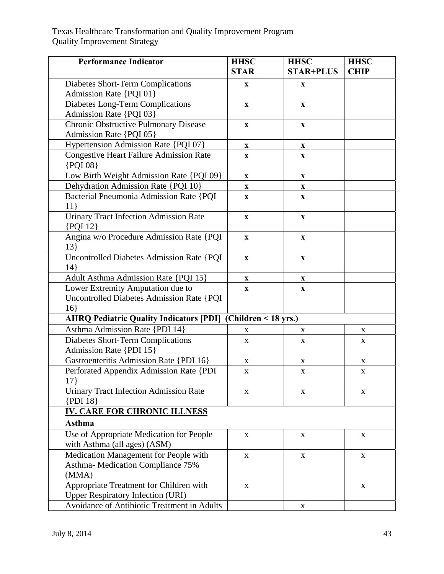| <b>Performance Indicator</b>                                                                | <b>HHSC</b><br><b>STAR</b> | <b>HHSC</b><br><b>STAR+PLUS</b> | <b>HHSC</b><br><b>CHIP</b> |
|---------------------------------------------------------------------------------------------|----------------------------|---------------------------------|----------------------------|
| Diabetes Short-Term Complications                                                           | $\mathbf X$                | $\mathbf{X}$                    |                            |
| Admission Rate {PQI 01}                                                                     |                            |                                 |                            |
| Diabetes Long-Term Complications                                                            | $\mathbf{X}$               | $\mathbf X$                     |                            |
| Admission Rate {PQI 03}                                                                     |                            |                                 |                            |
| <b>Chronic Obstructive Pulmonary Disease</b>                                                | $\mathbf X$                | X                               |                            |
| Admission Rate {PQI 05}                                                                     |                            |                                 |                            |
| Hypertension Admission Rate {PQI 07}                                                        | $\boldsymbol{\mathrm{X}}$  | $\boldsymbol{\mathrm{X}}$       |                            |
| <b>Congestive Heart Failure Admission Rate</b><br>{PQI 08}                                  | $\mathbf{X}$               | $\mathbf{X}$                    |                            |
| Low Birth Weight Admission Rate {PQI 09}                                                    | $\mathbf X$                | $\mathbf X$                     |                            |
| Dehydration Admission Rate {PQI 10}                                                         | $\mathbf X$                | $\mathbf X$                     |                            |
| Bacterial Pneumonia Admission Rate {PQI<br>11                                               | $\boldsymbol{\mathrm{X}}$  | $\boldsymbol{\mathrm{X}}$       |                            |
| <b>Urinary Tract Infection Admission Rate</b><br>$\{$ PQI 12 $\}$                           | $\boldsymbol{\mathrm{X}}$  | $\boldsymbol{\mathrm{X}}$       |                            |
| Angina w/o Procedure Admission Rate {PQI<br>13                                              | $\mathbf{X}$               | $\mathbf{X}$                    |                            |
| <b>Uncontrolled Diabetes Admission Rate {PQI</b><br>14                                      | $\mathbf X$                | $\mathbf X$                     |                            |
| <b>Adult Asthma Admission Rate {PQI 15}</b>                                                 | $\mathbf X$                | $\mathbf X$                     |                            |
| Lower Extremity Amputation due to<br><b>Uncontrolled Diabetes Admission Rate {PQI</b><br>16 | $\boldsymbol{\mathrm{X}}$  | $\boldsymbol{\mathrm{X}}$       |                            |
| <b>AHRQ Pediatric Quality Indicators [PDI]</b>                                              | (Children < 18 yrs.)       |                                 |                            |
| Asthma Admission Rate {PDI 14}                                                              | X                          | X                               | X                          |
| Diabetes Short-Term Complications<br>Admission Rate {PDI 15}                                | $\mathbf X$                | $\mathbf{X}$                    | X                          |
| Gastroenteritis Admission Rate {PDI 16}                                                     | $\mathbf X$                | X                               | X                          |
| Perforated Appendix Admission Rate {PDI<br>$17$ }                                           | $\mathbf X$                | $\mathbf X$                     | $\mathbf X$                |
| <b>Urinary Tract Infection Admission Rate</b><br>${PDI}18$                                  | X                          | X                               | X                          |
| <b>IV. CARE FOR CHRONIC ILLNESS</b>                                                         |                            |                                 |                            |
| Asthma                                                                                      |                            |                                 |                            |
| Use of Appropriate Medication for People<br>with Asthma (all ages) (ASM)                    | X                          | X                               | X                          |
| Medication Management for People with                                                       | $\mathbf X$                | $\mathbf X$                     | X                          |
| Asthma-Medication Compliance 75%                                                            |                            |                                 |                            |
| (MMA)                                                                                       |                            |                                 |                            |
| Appropriate Treatment for Children with                                                     | X                          |                                 | X                          |
| <b>Upper Respiratory Infection (URI)</b>                                                    |                            |                                 |                            |
| Avoidance of Antibiotic Treatment in Adults                                                 |                            | X                               |                            |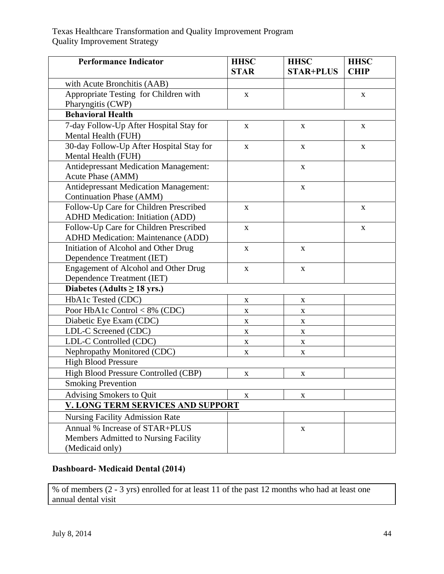| <b>Performance Indicator</b>                                                        | <b>HHSC</b><br><b>STAR</b> | <b>HHSC</b><br><b>STAR+PLUS</b> | <b>HHSC</b><br><b>CHIP</b> |
|-------------------------------------------------------------------------------------|----------------------------|---------------------------------|----------------------------|
| with Acute Bronchitis (AAB)                                                         |                            |                                 |                            |
| Appropriate Testing for Children with                                               | X                          |                                 | X                          |
| Pharyngitis (CWP)                                                                   |                            |                                 |                            |
| <b>Behavioral Health</b>                                                            |                            |                                 |                            |
| 7-day Follow-Up After Hospital Stay for<br>Mental Health (FUH)                      | X                          | X                               | X                          |
| 30-day Follow-Up After Hospital Stay for<br>Mental Health (FUH)                     | X                          | X                               | X                          |
| <b>Antidepressant Medication Management:</b><br>Acute Phase (AMM)                   |                            | $\mathbf X$                     |                            |
| <b>Antidepressant Medication Management:</b><br><b>Continuation Phase (AMM)</b>     |                            | $\mathbf X$                     |                            |
| Follow-Up Care for Children Prescribed<br><b>ADHD Medication: Initiation (ADD)</b>  | X                          |                                 | X                          |
| Follow-Up Care for Children Prescribed<br><b>ADHD Medication: Maintenance (ADD)</b> | X                          |                                 | $\mathbf X$                |
| Initiation of Alcohol and Other Drug<br>Dependence Treatment (IET)                  | X                          | X                               |                            |
| Engagement of Alcohol and Other Drug                                                | X                          | X                               |                            |
| Dependence Treatment (IET)                                                          |                            |                                 |                            |
| Diabetes (Adults $\geq$ 18 yrs.)                                                    |                            |                                 |                            |
| HbA1c Tested (CDC)                                                                  | $\mathbf X$                | $\mathbf X$                     |                            |
| Poor HbA1c Control < $8\%$ (CDC)                                                    | X                          | X                               |                            |
| Diabetic Eye Exam (CDC)                                                             | X                          | X                               |                            |
| LDL-C Screened (CDC)                                                                | $\mathbf X$                | $\mathbf{X}$                    |                            |
| LDL-C Controlled (CDC)                                                              | $\mathbf X$                | X                               |                            |
| Nephropathy Monitored (CDC)                                                         | $\mathbf X$                | $\mathbf X$                     |                            |
| <b>High Blood Pressure</b>                                                          |                            |                                 |                            |
| High Blood Pressure Controlled (CBP)                                                | X                          | X                               |                            |
| <b>Smoking Prevention</b>                                                           |                            |                                 |                            |
| Advising Smokers to Quit                                                            | $\mathbf X$                | $\mathbf X$                     |                            |
| V. LONG TERM SERVICES AND SUPPORT                                                   |                            |                                 |                            |
| <b>Nursing Facility Admission Rate</b>                                              |                            |                                 |                            |
| Annual % Increase of STAR+PLUS<br>Members Admitted to Nursing Facility              |                            | $\mathbf X$                     |                            |
| (Medicaid only)                                                                     |                            |                                 |                            |

# **Dashboard- Medicaid Dental (2014)**

% of members (2 - 3 yrs) enrolled for at least 11 of the past 12 months who had at least one annual dental visit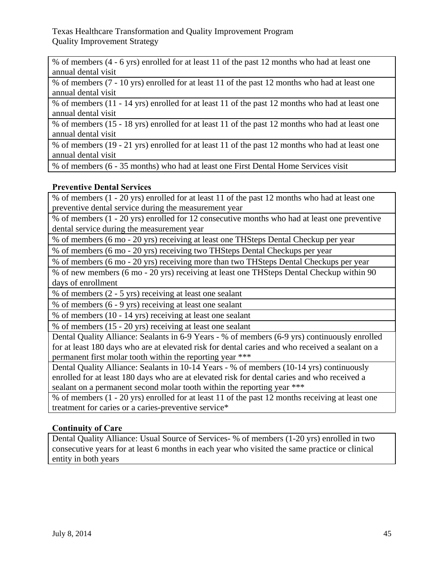% of members (4 - 6 yrs) enrolled for at least 11 of the past 12 months who had at least one annual dental visit

% of members (7 - 10 yrs) enrolled for at least 11 of the past 12 months who had at least one annual dental visit

% of members (11 - 14 yrs) enrolled for at least 11 of the past 12 months who had at least one annual dental visit

% of members (15 - 18 yrs) enrolled for at least 11 of the past 12 months who had at least one annual dental visit

% of members (19 - 21 yrs) enrolled for at least 11 of the past 12 months who had at least one annual dental visit

% of members (6 - 35 months) who had at least one First Dental Home Services visit

# **Preventive Dental Services**

% of members (1 - 20 yrs) enrolled for at least 11 of the past 12 months who had at least one preventive dental service during the measurement year

% of members (1 - 20 yrs) enrolled for 12 consecutive months who had at least one preventive dental service during the measurement year

% of members (6 mo - 20 yrs) receiving at least one THSteps Dental Checkup per year

% of members (6 mo - 20 yrs) receiving two THSteps Dental Checkups per year

% of members (6 mo - 20 yrs) receiving more than two THSteps Dental Checkups per year

% of new members (6 mo - 20 yrs) receiving at least one THSteps Dental Checkup within 90 days of enrollment

% of members (2 - 5 yrs) receiving at least one sealant

% of members (6 - 9 yrs) receiving at least one sealant

% of members (10 - 14 yrs) receiving at least one sealant

% of members (15 - 20 yrs) receiving at least one sealant

Dental Quality Alliance: Sealants in 6-9 Years - % of members (6-9 yrs) continuously enrolled for at least 180 days who are at elevated risk for dental caries and who received a sealant on a permanent first molar tooth within the reporting year \*\*\*

Dental Quality Alliance: Sealants in 10-14 Years - % of members (10-14 yrs) continuously enrolled for at least 180 days who are at elevated risk for dental caries and who received a sealant on a permanent second molar tooth within the reporting year \*\*\*

% of members (1 - 20 yrs) enrolled for at least 11 of the past 12 months receiving at least one treatment for caries or a caries-preventive service\*

## **Continuity of Care**

Dental Quality Alliance: Usual Source of Services- % of members (1-20 yrs) enrolled in two consecutive years for at least 6 months in each year who visited the same practice or clinical entity in both years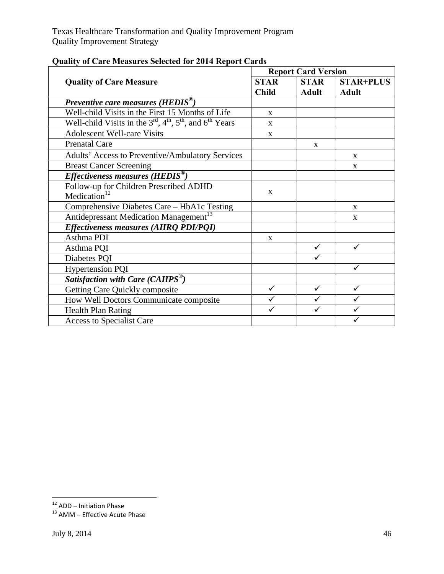| Quality of Care Measures Selected for 2014 Keport Carus          | <b>Report Card Version</b>  |                             |                                  |  |
|------------------------------------------------------------------|-----------------------------|-----------------------------|----------------------------------|--|
| <b>Quality of Care Measure</b>                                   | <b>STAR</b><br><b>Child</b> | <b>STAR</b><br><b>Adult</b> | <b>STAR+PLUS</b><br><b>Adult</b> |  |
| Preventive care measures ( $HEDIS^{\circledcirc}$ )              |                             |                             |                                  |  |
| Well-child Visits in the First 15 Months of Life                 | $\mathbf{x}$                |                             |                                  |  |
| Well-child Visits in the $3rd$ , $4th$ , $5th$ , and $6th$ Years | $\mathbf{X}$                |                             |                                  |  |
| <b>Adolescent Well-care Visits</b>                               | $\mathbf{X}$                |                             |                                  |  |
| <b>Prenatal Care</b>                                             |                             | $\mathbf{X}$                |                                  |  |
| Adults' Access to Preventive/Ambulatory Services                 |                             |                             | X                                |  |
| <b>Breast Cancer Screening</b>                                   |                             |                             | X                                |  |
| Effectiveness measures ( $HEDIS^{\circledast}$ )                 |                             |                             |                                  |  |
| Follow-up for Children Prescribed ADHD                           | X                           |                             |                                  |  |
| Medication $12$                                                  |                             |                             |                                  |  |
| Comprehensive Diabetes Care - HbA1c Testing                      |                             |                             | $\mathbf{x}$                     |  |
| Antidepressant Medication Management <sup>13</sup>               |                             |                             | $\mathbf{X}$                     |  |
| Effectiveness measures (AHRQ PDI/PQI)                            |                             |                             |                                  |  |
| Asthma PDI                                                       | $\mathbf{X}$                |                             |                                  |  |
| Asthma PQI                                                       |                             | $\checkmark$                | ✓                                |  |
| Diabetes PQI                                                     |                             | ✓                           |                                  |  |
| <b>Hypertension PQI</b>                                          |                             |                             | $\checkmark$                     |  |
| Satisfaction with Care (CAHPS®)                                  |                             |                             |                                  |  |
| Getting Care Quickly composite                                   | ✓                           | $\checkmark$                | ✓                                |  |
| How Well Doctors Communicate composite                           | ✓                           | ✓                           | ✓                                |  |
| <b>Health Plan Rating</b>                                        | ✓                           | ✓                           | $\checkmark$                     |  |
| Access to Specialist Care                                        |                             |                             | ✓                                |  |

## **Quality of Care Measures Selected for 2014 Report Cards**

<sup>&</sup>lt;sup>12</sup> ADD – Initiation Phase<br><sup>13</sup> AMM – Effective Acute Phase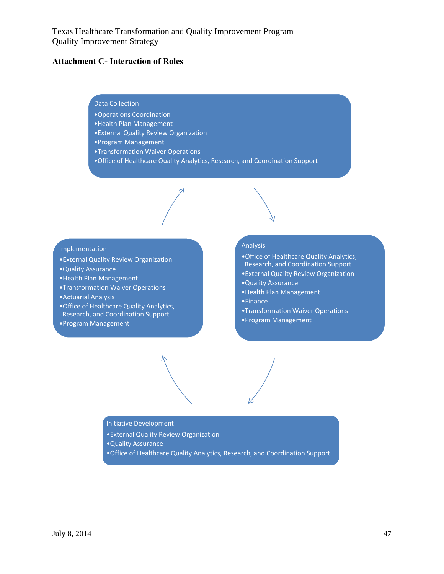#### **Attachment C- Interaction of Roles**

#### Data Collection

- •Operations Coordination
- •Health Plan Management
- •External Quality Review Organization
- •Program Management
- •Transformation Waiver Operations
- •Office of Healthcare Quality Analytics, Research, and Coordination Support



- •External Quality Review Organization
- •Quality Assurance
- •Health Plan Management
- •Transformation Waiver Operations
- •Actuarial Analysis
- •Office of Healthcare Quality Analytics, Research, and Coordination Support

#### •Program Management

#### Analysis

- •Office of Healthcare Quality Analytics, Research, and Coordination Support
- •External Quality Review Organization
- •Quality Assurance
- •Health Plan Management
- •Finance
- •Transformation Waiver Operations
- •Program Management

Initiative Development

- •External Quality Review Organization
- •Quality Assurance
- •Office of Healthcare Quality Analytics, Research, and Coordination Support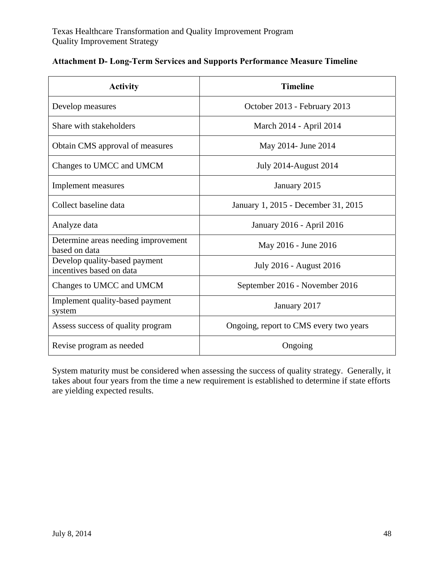| <b>Activity</b>                                           | <b>Timeline</b>                        |
|-----------------------------------------------------------|----------------------------------------|
| Develop measures                                          | October 2013 - February 2013           |
| Share with stakeholders                                   | March 2014 - April 2014                |
| Obtain CMS approval of measures                           | May 2014 - June 2014                   |
| Changes to UMCC and UMCM                                  | <b>July 2014-August 2014</b>           |
| Implement measures                                        | January 2015                           |
| Collect baseline data                                     | January 1, 2015 - December 31, 2015    |
| Analyze data                                              | January 2016 - April 2016              |
| Determine areas needing improvement<br>based on data      | May 2016 - June 2016                   |
| Develop quality-based payment<br>incentives based on data | July 2016 - August 2016                |
| Changes to UMCC and UMCM                                  | September 2016 - November 2016         |
| Implement quality-based payment<br>system                 | January 2017                           |
| Assess success of quality program                         | Ongoing, report to CMS every two years |
| Revise program as needed                                  | Ongoing                                |

# **Attachment D- Long-Term Services and Supports Performance Measure Timeline**

System maturity must be considered when assessing the success of quality strategy. Generally, it takes about four years from the time a new requirement is established to determine if state efforts are yielding expected results.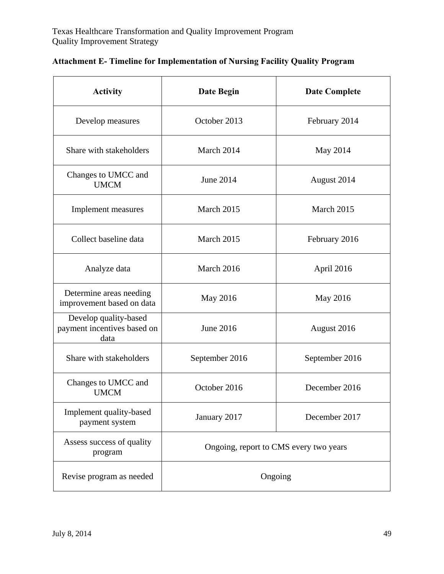| <b>Activity</b>                                              | Date Begin                             | <b>Date Complete</b> |
|--------------------------------------------------------------|----------------------------------------|----------------------|
| Develop measures                                             | October 2013                           | February 2014        |
| Share with stakeholders                                      | March 2014                             | May 2014             |
| Changes to UMCC and<br><b>UMCM</b>                           | June 2014                              | August 2014          |
| Implement measures                                           | March 2015                             | March 2015           |
| Collect baseline data                                        | March 2015                             | February 2016        |
| Analyze data                                                 | March 2016                             | April 2016           |
| Determine areas needing<br>improvement based on data         | May 2016                               | May 2016             |
| Develop quality-based<br>payment incentives based on<br>data | June 2016                              | August 2016          |
| Share with stakeholders                                      | September 2016                         | September 2016       |
| Changes to UMCC and<br><b>UMCM</b>                           | October 2016                           | December 2016        |
| Implement quality-based<br>payment system                    | January 2017                           | December 2017        |
| Assess success of quality<br>program                         | Ongoing, report to CMS every two years |                      |
| Revise program as needed                                     | Ongoing                                |                      |

## **Attachment E- Timeline for Implementation of Nursing Facility Quality Program**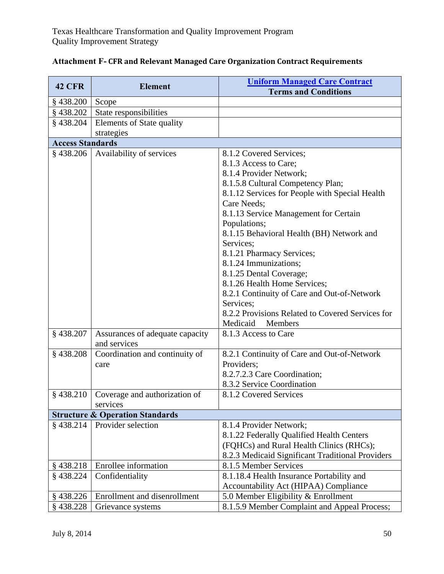| <b>42 CFR</b>           | <b>Element</b>                                  | <b>Uniform Managed Care Contract</b>             |
|-------------------------|-------------------------------------------------|--------------------------------------------------|
|                         |                                                 | <b>Terms and Conditions</b>                      |
| $§$ 438.200             | Scope                                           |                                                  |
| $§$ 438.202             | State responsibilities                          |                                                  |
| $§$ 438.204             | <b>Elements of State quality</b>                |                                                  |
|                         | strategies                                      |                                                  |
| <b>Access Standards</b> |                                                 |                                                  |
| $§$ 438.206             | Availability of services                        | 8.1.2 Covered Services;                          |
|                         |                                                 | 8.1.3 Access to Care;                            |
|                         |                                                 | 8.1.4 Provider Network;                          |
|                         |                                                 | 8.1.5.8 Cultural Competency Plan;                |
|                         |                                                 | 8.1.12 Services for People with Special Health   |
|                         |                                                 | Care Needs;                                      |
|                         |                                                 | 8.1.13 Service Management for Certain            |
|                         |                                                 | Populations;                                     |
|                         |                                                 | 8.1.15 Behavioral Health (BH) Network and        |
|                         |                                                 | Services;                                        |
|                         |                                                 | 8.1.21 Pharmacy Services;                        |
|                         |                                                 | 8.1.24 Immunizations;                            |
|                         |                                                 | 8.1.25 Dental Coverage;                          |
|                         |                                                 | 8.1.26 Health Home Services;                     |
|                         |                                                 | 8.2.1 Continuity of Care and Out-of-Network      |
|                         |                                                 | Services;                                        |
|                         |                                                 | 8.2.2 Provisions Related to Covered Services for |
|                         |                                                 | Medicaid<br><b>Members</b>                       |
| §438.207                | Assurances of adequate capacity<br>and services | 8.1.3 Access to Care                             |
| $§$ 438.208             | Coordination and continuity of                  | 8.2.1 Continuity of Care and Out-of-Network      |
|                         | care                                            | Providers;                                       |
|                         |                                                 | 8.2.7.2.3 Care Coordination;                     |
|                         |                                                 | 8.3.2 Service Coordination                       |
| §438.210                | Coverage and authorization of                   | 8.1.2 Covered Services                           |
|                         | services                                        |                                                  |
|                         | <b>Structure &amp; Operation Standards</b>      |                                                  |
| §438.214                | Provider selection                              | 8.1.4 Provider Network;                          |
|                         |                                                 | 8.1.22 Federally Qualified Health Centers        |
|                         |                                                 | (FQHCs) and Rural Health Clinics (RHCs);         |
|                         |                                                 | 8.2.3 Medicaid Significant Traditional Providers |
| $§$ 438.218             | Enrollee information                            | 8.1.5 Member Services                            |
| §438.224                | Confidentiality                                 | 8.1.18.4 Health Insurance Portability and        |
|                         |                                                 | Accountability Act (HIPAA) Compliance            |
| $§$ 438.226             | Enrollment and disenrollment                    | 5.0 Member Eligibility & Enrollment              |
| $§$ 438.228             | Grievance systems                               | 8.1.5.9 Member Complaint and Appeal Process;     |

| <b>Attachment F- CFR and Relevant Managed Care Organization Contract Requirements</b> |  |
|---------------------------------------------------------------------------------------|--|
|---------------------------------------------------------------------------------------|--|